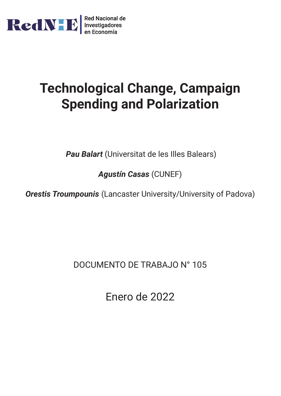

# **Technological Change, Campaign Spending and Polarization**

*Pau Balart* (Universitat de les Illes Balears)

*Agustín Casas* (CUNEF)

*Orestis Troumpounis* (Lancaster University/University of Padova)

DOCUMENTO DE TRABAJO N° 105

Enero de 2022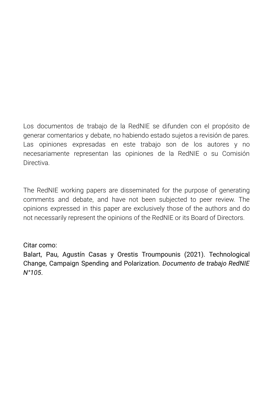Los documentos de trabajo de la RedNIE se difunden con el propósito de generar comentarios y debate, no habiendo estado sujetos a revisión de pares. Las opiniones expresadas en este trabajo son de los autores y no necesariamente representan las opiniones de la RedNIE o su Comisión Directiva.

The RedNIE working papers are disseminated for the purpose of generating comments and debate, and have not been subjected to peer review. The opinions expressed in this paper are exclusively those of the authors and do not necessarily represent the opinions of the RedNIE or its Board of Directors.

Citar como:

Balart, Pau, Agustín Casas y Orestis Troumpounis (2021). Technological Change, Campaign Spending and Polarization. *Documento de trabajo RedNIE N°105*.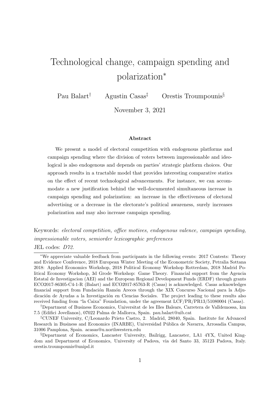## <span id="page-2-0"></span>Technological change, campaign spending and polarization<sup>∗</sup>

Pau Balart† Agustin Casas‡ Orestis Troumpounis§

November 3, 2021

#### Abstract

We present a model of electoral competition with endogenous platforms and campaign spending where the division of voters between impressionable and ideological is also endogenous and depends on parties' strategic platform choices. Our approach results in a tractable model that provides interesting comparative statics on the effect of recent technological advancements. For instance, we can accommodate a new justification behind the well-documented simultaneous increase in campaign spending and polarization: an increase in the effectiveness of electoral advertising or a decrease in the electorate's political awareness, surely increases polarization and may also increase campaign spending.

Keywords: electoral competition, office motives, endogenous valence, campaign spending, impressionable voters, semiorder lexicographic preferences

JEL codes: D72.

<sup>∗</sup>We appreciate valuable feedback from participants in the following events: 2017 Contests: Theory and Evidence Conference, 2018 European Winter Meeting of the Econometric Society, Petralia Sottana 2018: Applied Economics Workshop, 2018 Political Economy Workshop Rotterdam, 2018 Madrid Political Economy Workshop, 3d Grode Workshop: Game Theory. Financial support from the Agencia Estatal de Investigacion (AEI) and the European Regional Development Funds (ERDF) through grants ECO2017-86305-C4-1-R (Balart) and ECO2017-85763-R (Casas) is acknowledged. Casas acknowledges financial support from Fundación Ramón Areces through the XIX Concurso Nacional para la Adjudicación de Ayudas a la Investigación en Ciencias Sociales. The project leading to these results also received funding from "la Caixa" Foundation, under the agreement LCF/PR/PR13/51080004 (Casas).

<sup>†</sup>Department of Business Economics, Universitat de les Illes Balears, Carretera de Valldemossa, km 7.5 (Edifici Jovellanos), 07022 Palma de Mallorca, Spain. pau.balart@uib.cat

<sup>‡</sup>CUNEF University, C/Leonardo Prieto Castro, 2. Madrid, 28040, Spain. Institute for Advanced Research in Business and Economics (INARBE), Universidad Pública de Navarra, Arrosadia Campus, 31006 Pamplona, Spain. acasas@u.northwestern.edu

<sup>§</sup>Department of Economics, Lancaster University, Bailrigg, Lancaster, LA1 4YX, United Kingdom and Department of Economics, University of Padova, via del Santo 33, 35123 Padova, Italy. orestis.troumpounis@unipd.it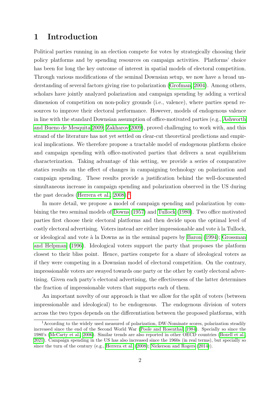## 1 Introduction

Political parties running in an election compete for votes by strategically choosing their policy platforms and by spending resources on campaign activities. Platforms' choice has been for long the key outcome of interest in spatial models of electoral competition. Through various modifications of the seminal Downsian setup, we now have a broad understanding of several factors giving rise to polarization [\(Grofman, 2004\)](#page-40-0). Among others, scholars have jointly analyzed polarization and campaign spending by adding a vertical dimension of competition on non-policy grounds (i.e., valence), where parties spend resources to improve their electoral performance. However, models of endogenous valence in line with the standard Downsian assumption of office-motivated parties (e.g., [Ashworth](#page-38-0) [and Bueno de Mesquita 2009;](#page-38-0) [Zakharov 2009\)](#page-42-0), proved challenging to work with, and this strand of the literature has not yet settled on clear-cut theoretical predictions and empirical implications. We therefore propose a tractable model of endogenous platform choice and campaign spending with office-motivated parties that delivers a neat equilibrium characterization. Taking advantage of this setting, we provide a series of comparative statics results on the effect of changes in campaigning technology on polarization and campaign spending. These results provide a justification behind the well-documented simultaneous increase in campaign spending and polarization observed in the US during the past decades (Herrera et al.,  $2008$ ).<sup>[1](#page-2-0)1</sup>

In more detail, we propose a model of campaign spending and polarization by com-bining the two seminal models of [Downs](#page-39-0) [\(1957\)](#page-39-0) and [Tullock](#page-42-1) [\(1980\)](#page-42-1). Two office motivated parties first choose their electoral platforms and then decide upon the optimal level of costly electoral advertising. Voters instead are either impressionable and vote à la Tullock, or ideological and vote à la Downs as in the seminal papers by  $\boxed{\text{Baron}}$  [\(1994\)](#page-38-1); [Grossman](#page-40-2) [and Helpman](#page-40-2) [\(1996\)](#page-40-2). Ideological voters support the party that proposes the platform closest to their bliss point. Hence, parties compete for a share of ideological voters as if they were competing in a Downsian model of electoral competition. On the contrary, impressionable voters are swayed towards one party or the other by costly electoral advertising. Given each party's electoral advertising, the effectiveness of the latter determines the fraction of impressionable voters that supports each of them.

An important novelty of our approach is that we allow for the split of voters (between impressionable and ideological) to be endogenous. The endogenous division of voters across the two types depends on the differentiation between the proposed platforms, with

<sup>1</sup>According to the widely used measured of polarization, DW-Nominate scores, polarization steadily increased since the end of the Second World War [\(Poole and Rosenthal, 1984\)](#page-41-0). Specially so since the 1980's [\(McCarty et al., 2006\)](#page-41-1). Similar trends are also reported in other OECD countries [\(Boxell et al.,](#page-39-1) [2021\)](#page-39-1). Campaign spending in the US has also increased since the 1960s (in real terms), but specially so since the turn of the century (e.g., [Herrera et al.](#page-40-1)  $(2008)$ ; [Nickerson and Rogers](#page-41-2)  $(2014)$ ).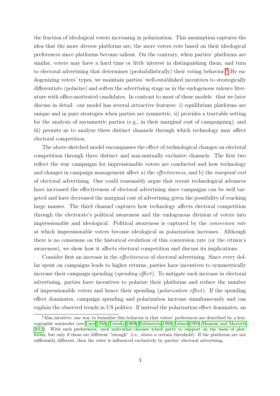the fraction of ideological voters increasing in polarization. This assumption captures the idea that the more diverse platforms are, the more voters vote based on their ideological preferences since platforms become salient. On the contrary, when parties' platforms are similar, voters may have a hard time or little interest in distinguishing them, and turn to electoral advertising that determines (probabilistically) their voting behavior.<sup>[2](#page-2-0)</sup> By endogenizing voters' types, we maintain parties' well-established incentives to strategically differentiate (polarize) and soften the advertising stage as in the endogenous valence literature with office-motivated candidates. In contrast to most of these models –that we later discuss in detail– our model has several attractive features: i) equilibrium platforms are unique and in pure strategies when parties are symmetric, ii) provides a tractable setting for the analysis of asymmetric parties (e.g., in their marginal cost of campaigning), and iii) permits us to analyze three distinct channels through which technology may affect electoral competition.

The above sketched model encompasses the effect of technological changes on electoral competition through three distinct and non-mutually exclusive channels. The first two reflect the way campaigns for impressionable voters are conducted and how technology and changes in campaign management affect a) the effectiveness, and b) the marginal cost of electoral advertising. One could reasonably argue that recent technological advances have increased the effectiveness of electoral advertising since campaigns can be well targeted and have decreased the marginal cost of advertising given the possibility of reaching large masses. The third channel captures how technology affects electoral competition through the electorate's political awareness and the endogenous division of voters into impressionable and ideological. Political awareness is captured by the conversion rate at which impressionable voters become ideological as polarization increases. Although there is no consensus on the historical evolution of this conversion rate (or the citizen's awareness), we show how it affects electoral competition and discuss its implications.

Consider first an increase in the effectiveness of electoral advertising. Since every dollar spent on campaigns leads to higher returns, parties have incentives to symmetrically increase their campaign spending (spending effect). To mitigate such increase in electoral advertising, parties have incentives to polarize their platforms and reduce the number of impressionable voters and hence their spending (polarization effect). If the spending effect dominates, campaign spending and polarization increase simultaneously and can explain the observed trends in US politics. If instead the polarization effect dominates, an

<sup>2</sup>Alas intuitive, one way to formalize this behavior is that voters' preferences are described by a lexi-cographic semiorder (see [Luce 1956;](#page-40-3) [Tversky 1969;](#page-42-2) [Rubinstein 1988;](#page-41-3) [Leland 1994;](#page-40-4) [Manzini and Mariotti](#page-41-4) [2012\)](#page-41-4). With such preferences, each individual chooses which party to support on the basis of platforms, but only if those are different "enough" (i.e., above a certain threshold). If the platforms are not sufficiently different, then the voter is influenced exclusively by parties' electoral advertising.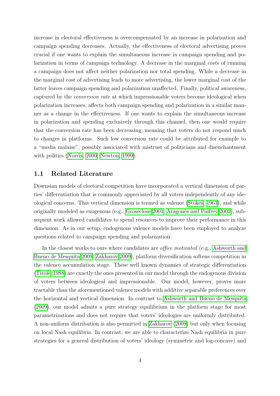increase in electoral effectiveness is overcompensated by an increase in polarization and campaign spending decreases. Actually, the effectiveness of electoral advertising proves crucial if one wants to explain the simultaneous increase in campaign spending and polarization in terms of campaign technology. A decrease in the marginal costs of running a campaign does not affect neither polarization nor total spending. While a decrease in the marginal cost of advertising leads to more advertising, the lower marginal cost of the latter leaves campaign spending and polarization unaffected. Finally, political awareness, captured by the conversion rate at which impressionable voters become ideological when polarization increases, affects both campaign spending and polarization in a similar manner as a change in the effectiveness. If one wants to explain the simultaneous increase in polarization and spending exclusively through this channel, then one would require that the conversion rate has been decreasing, meaning that voters do not respond much to changes in platforms. Such low conversion rate could be attributed for example to a "media malaise", possibly associated with mistrust of politicians and disenchantment with politics [\(Norris, 2000;](#page-41-5) [Newton, 1999\)](#page-41-6).

#### <span id="page-5-0"></span>1.1 Related Literature

Downsian models of electoral competition have incorporated a vertical dimension of parties' differentiation that is commonly appreciated by all voters independently of any ideological concerns. This vertical dimension is termed as valence [\(Stokes, 1963\)](#page-42-3), and while originally modeled as exogenous (e.g., [Groseclose 2001;](#page-40-5) Aragonès and Palfrey 2002), subsequent work allowed candidates to spend resources to improve their performance in this dimension. As in our setup, endogenous valence models have been employed to analyze questions related to campaign spending and polarization.

In the closest works to ours where candidates are *office motivated* (e.g., [Ashworth and](#page-38-0) [Bueno de Mesquita 2009;](#page-38-0) [Zakharov 2009\)](#page-42-0), platform diversification softens competition in the valence accumulation stage. These well known dynamics of strategic differentiation [\(Tirole, 1988\)](#page-42-4) are exactly the ones presented in our model through the endogenous division of voters between ideological and impressionable. Our model, however, proves more tractable than the aforementioned valence models with additive separable preferences over the horizontal and vertical dimension. In contrast to [Ashworth and Bueno de Mesquita](#page-38-0) [\(2009\)](#page-38-0), our model admits a pure strategy equilibrium in the platform stage for most parametrizations and does not require that voters' ideologies are uniformly distributed. A non-uniform distribution is also permitted in **Zakharov** [\(2009\)](#page-42-0) but only when focusing on local Nash equilibria. In contrast, we are able to characterize Nash equilibria in pure strategies for a general distribution of voters' ideology (symmetric and log-concave) and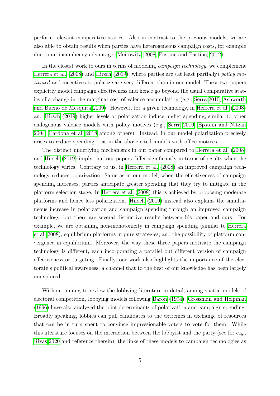perform relevant comparative statics. Also in contrast to the previous models, we are also able to obtain results when parties have heterogeneous campaign costs, for example due to an incumbency advantage [\(Meirowitz, 2008;](#page-41-7) [Pastine and Pastine, 2012\)](#page-41-8).

In the closest work to ours in terms of modeling campaign technology, we complement [Herrera et al.](#page-40-1) [\(2008\)](#page-40-1) and [Hirsch](#page-40-6) [\(2019\)](#page-40-6), where parties are (at least partially) policy motivated and incentives to polarize are very different than in our model. These two papers explicitly model campaign effectiveness and hence go beyond the usual comparative statics of a change in the marginal cost of valence accumulation (e.g.,  $\text{Serra}$  2010; [Ashworth](#page-38-0) [and Bueno de Mesquita 2009\)](#page-38-0). However, for a given technology, in [Herrera et al.](#page-40-1) [\(2008\)](#page-40-1) and [Hirsch](#page-40-6) [\(2019\)](#page-40-6) higher levels of polarization induce higher spending, similar to other endogenous valence models with policy motives (e.g., [Serra 2010;](#page-41-9) [Epstein and Nitzan](#page-39-2) [2004;](#page-39-2) [Cardona et al. 2018](#page-39-3) among others). Instead, in our model polarization precisely arises to reduce spending —as in the above-cited models with office motives.

The distinct underlying mechanisms in our paper compared to [Herrera et al.](#page-40-1) [\(2008\)](#page-40-1) and [Hirsch](#page-40-6) [\(2019\)](#page-40-6) imply that our papers differ significantly in terms of results when the technology varies. Contrary to us, in [Herrera et al.](#page-40-1) [\(2008\)](#page-40-1) an improved campaign technology reduces polarization. Same as in our model, when the effectiveness of campaign spending increases, parties anticipate greater spending that they try to mitigate in the platform selection stage. In [Herrera et al.](#page-40-1) [\(2008\)](#page-40-1) this is achieved by proposing moderate platforms and hence less polarization.  $\overline{Hirsch}$  [\(2019\)](#page-40-6) instead also explains the simultaneous increase in polarization and campaign spending through an improved campaign technology, but there are several distinctive results between his paper and ours. For example, we are obtaining non-monotonicity in campaign spending (similar to [Herrera](#page-40-1) [et al. 2008\)](#page-40-1), equilibrium platforms in pure strategies, and the possibility of platform convergence in equilibrium. Moreover, the way these three papers motivate the campaign technology is different, each incorporating a parallel but different version of campaign effectiveness or targeting. Finally, our work also highlights the importance of the electorate's political awareness, a channel that to the best of our knowledge has been largely unexplored.

Without aiming to review the lobbying literature in detail, among spatial models of electoral competition, lobbying models following [Baron](#page-38-1) [\(1994\)](#page-38-1); [Grossman and Helpman](#page-40-2) [\(1996\)](#page-40-2) have also analyzed the joint determinants of polarization and campaign spending. Broadly speaking, lobbies can pull candidates to the extremes in exchange of resources that can be in turn spent to convince impressionable voters to vote for them. While this literature focuses on the interaction between the lobbyist and the party (see for e.g., [Rivas 2020](#page-41-10) and reference therein), the links of these models to campaign technologies as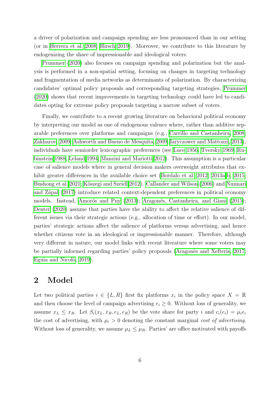a driver of polarization and campaign spending are less pronounced than in our setting (or in Herrera et al.  $2008$ ; Hirsch  $2019$ ). Moreover, we contribute to this literature by endogenizing the share of impressionable and ideological voters.

[Prummer](#page-41-11) [\(2020\)](#page-41-11) also focuses on campaign spending and polarization but the analysis is performed in a non-spatial setting, focusing on changes in targeting technology and fragmentation of media networks as determinants of polarization. By characterizing candidates' optimal policy proposals and corresponding targeting strategies, [Prummer](#page-41-11) [\(2020\)](#page-41-11) shows that recent improvements in targeting technology could have led to candidates opting for extreme policy proposals targeting a narrow subset of voters.

Finally, we contribute to a recent growing literature on behavioral political economy by interpreting our model as one of endogenous valence where, rather than additive separable preferences over platforms and campaigns (e.g., [Carrillo and Castanheira, 2008;](#page-39-4) [Zakharov, 2009;](#page-42-0) [Ashworth and Bueno de Mesquita, 2009;](#page-38-0) [Iaryczower and Mattozzi, 2013\)](#page-40-7). individuals have semiorder lexicographic preferences (see [Luce 1956;](#page-40-3) [Tversky 1969;](#page-42-2) [Ru](#page-41-3)[binstein 1988;](#page-41-3) [Leland 1994;](#page-40-4) [Manzini and Mariotti 2012\)](#page-41-4). This assumption is a particular case of salience models where in general decision makers overweight attributes that exhibit greater differences in the available choice set (Bordalo et al.  $2012$ ,  $2013a$ ,  $b$ ,  $2015$ [Bushong et al. 2021;](#page-39-5) Kőszegi and Szeidl 2012). [Callander and Wilson](#page-39-6) [\(2006\)](#page-39-6) and [Nunnari](#page-41-12) and Zápal [\(2017\)](#page-41-12) introduce related context-dependent preferences in political economy models. Instead, Amorós and Puy [\(2013\)](#page-38-7); Aragonés, Castanheira, and Giani [\(2015\)](#page-38-8); [Denter](#page-39-7) [\(2020\)](#page-39-7) assume that parties have the ability to affect the relative salience of different issues via their strategic actions (e.g., allocation of time or effort). In our model, parties' strategic actions affect the salience of platforms versus advertising, and hence whether citizens vote in an ideological or impressionable manner. Therefore, although very different in nature, our model links with recent literature where some voters may be partially informed regarding parties' policy proposals ( $\Delta$ ragonès and Xefteris, 2017; Eguia and Nicol $\delta$ , 2019).

## 2 Model

Let two political parties  $i \in \{L, R\}$  first fix platforms  $x_i$  in the policy space  $X = \mathbb{R}$ and then choose the level of campaign advertising  $e_i \geq 0$ . Without loss of generality, we assume  $x_L \leq x_R$ . Let  $S_i(x_L, x_R, e_L, e_R)$  be the vote share for party i and  $c_i(e_i) = \mu_i e_i$ the cost of advertising, with  $\mu_i > 0$  denoting the constant marginal cost of advertising. Without loss of generality, we assume  $\mu_L \leq \mu_R$ . Parties' are office motivated with payoffs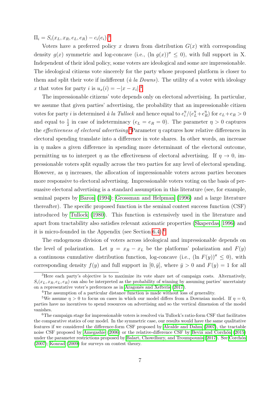$\Pi_i = S_i(x_L, x_R, e_L, e_R) - c_i(e_i).$ <sup>[3](#page-2-0)</sup>

Voters have a preferred policy x drawn from distribution  $G(x)$  with corresponding density  $q(x)$  symmetric and log-concave (i.e.,  $(\ln q(x))^{\prime\prime} < 0$ ), with full support in X. Independent of their ideal policy, some voters are ideological and some are impressionable. The ideological citizens vote sincerely for the party whose proposed platform is closer to them and split their vote if indifferent ( $\dot{a}$  la Downs). The utility of a voter with ideology x that votes for party i is  $u_x(i) = -|x - x_i|$ .

The impressionable citizens' vote depends only on electoral advertising. In particular, we assume that given parties' advertising, the probability that an impressionable citizen votes for party *i* is determined *à la Tullock* and hence equal to  $e_i^{\eta}$  $\binom{n}{i}/(e_L^n+e_H^n)$  $\binom{\eta}{R}$  for  $e_L+e_R>0$ and equal to  $\frac{1}{2}$  in case of indeterminacy  $(e_L = e_R = 0)$ . The parameter  $\eta > 0$  captures the *effectiveness of electoral advertising*.  $P$ Parameter  $\eta$  captures how relative differences in electoral spending translate into a difference in vote shares. In other words, an increase in  $\eta$  makes a given difference in spending more determinant of the electoral outcome, permitting us to interpret  $\eta$  as the effectiveness of electoral advertising. If  $\eta \to 0$ , impressionable voters split equally across the two parties for any level of electoral spending. However, as  $\eta$  increases, the allocation of impressionable voters across parties becomes more responsive to electoral advertising. Impressionable voters voting on the basis of persuasive electoral advertising is a standard assumption in this literature (see, for example, seminal papers by  $\boxed{\text{Baron}}$  [\(1994\)](#page-38-1); [Grossman and Helpman](#page-40-2) [\(1996\)](#page-40-2) and a large literature thereafter). The specific proposed function is the seminal contest success function (CSF) introduced by [Tullock](#page-42-1) [\(1980\)](#page-42-1). This function is extensively used in the literature and apart from tractability also satisfies relevant axiomatic properties [\(Skaperdas, 1996\)](#page-41-13) and it is micro-founded in the Appendix (see Section  $[6.4]$  $[6.4]$  $[6.4]$ .<sup>[9</sup>]

The endogenous division of voters across ideological and impressionable depends on the level of polarization. Let  $y = x_R - x_L$  be the platforms' polarization and  $F(y)$ a continuous cumulative distribution function, log-concave (i.e.,  $(\ln F(y))^{\prime\prime} \leq 0$ ), with corresponding density  $f(y)$  and full support in  $[0, \bar{y}]$ , where  $\bar{y} > 0$  and  $F(y) = 1$  for all

<sup>&</sup>lt;sup>3</sup>Here each party's objective is to maximize its vote share net of campaign costs. Alternatively,  $S_i(x_L, x_R, e_L, e_R)$  can also be interpreted as the probability of winning by assuming parties' uncertainty on a representative voter's preferences as in Aragonès and Xefteris [\(2017\)](#page-38-9).

<sup>&</sup>lt;sup>4</sup>The assumption of a particular distance function is made without loss of generality.

<sup>&</sup>lt;sup>5</sup>We assume  $\eta > 0$  to focus on cases in which our model differs from a Downsian model. If  $\eta = 0$ , parties have no incentives to spend resources on advertising and so the vertical dimension of the model vanishes.

<sup>6</sup>The campaign stage for impressionable voters is resolved via Tullock's ratio-form CSF that facilitates the comparative statics of our model. In the symmetric case, our results would have the same qualitative features if we considered the difference-form CSF proposed by [Alcalde and Dahm](#page-38-10) [\(2007\)](#page-38-10), the tractable noise CSF proposed by  $\boxed{\text{Amegashie}}$  [\(2006\)](#page-38-11) or the relative-difference CSF by  $\boxed{\text{Beviá}}$  and Corchón [\(2015\)](#page-38-12) under the parameter restrictions proposed by  $Balart$ , Chowdhury, and Troumpounis  $(2017)$ . See Corchón  $(2007)$ ; [Konrad](#page-40-9)  $(2009)$  for surveys on contest theory.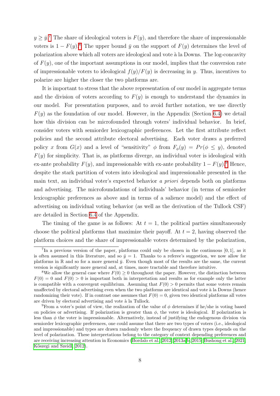$y \geq \bar{y}$ <sup>[7](#page-2-0)</sup>. The share of ideological voters is  $F(y)$ , and therefore the share of impressionable voters is  $1 - F(y)$ .<sup>[8](#page-2-0)</sup> The upper bound  $\bar{y}$  on the support of  $F(y)$  determines the level of polarization above which all voters are ideological and vote `a la Downs. The log-concavity of  $F(y)$ , one of the important assumptions in our model, implies that the conversion rate of impressionable voters to ideological  $f(y)/F(y)$  is decreasing in y. Thus, incentives to polarize are higher the closer the two platforms are.

It is important to stress that the above representation of our model in aggregate terms and the division of voters according to  $F(y)$  is enough to understand the dynamics in our model. For presentation purposes, and to avoid further notation, we use directly  $F(y)$  as the foundation of our model. However, in the Appendix (Section  $\overline{6.4}$ ) we detail how this division can be microfounded through voters' individual behavior. In brief, consider voters with semiorder lexicographic preferences. Let the first attribute reflect policies and the second attribute electoral advertising. Each voter draws a preferred policy x from  $G(x)$  and a level of "sensitivity"  $\phi$  from  $F_{\phi}(y) = Pr(\phi \le y)$ , denoted  $F(y)$  for simplicity. That is, as platforms diverge, an individual voter is ideological with ex-ante probability  $F(y)$ , and impressionable with ex-ante probability  $1-F(y)$ . Hence, despite the stark partition of voters into ideological and impressionable presented in the main text, an individual voter's expected behavior a priori depends both on platforms and advertising. The microfoundations of individuals' behavior (in terms of semiorder lexicographic preferences as above and in terms of a salience model) and the effect of advertising on individual voting behavior (as well as the derivation of the Tullock CSF) are detailed in Section [6.4](#page-35-0) of the Appendix.

The timing of the game is as follows: At  $t = 1$ , the political parties simultaneously choose the political platforms that maximize their payoff. At  $t = 2$ , having observed the platform choices and the share of impressionable voters determined by the polarization,

<sup>&</sup>lt;sup>7</sup>In a previous version of the paper, platforms could only be chosen in the continuous  $[0,1]$ , as it is often assumed in this literature, and so  $\bar{y} = 1$ . Thanks to a referee's suggestion, we now allow for platforms in R and so for a more general  $\bar{y}$ . Even though most of the results are the same, the current version is significantly more general and, at times, more tractable and therefore intuitive.

<sup>&</sup>lt;sup>8</sup>We allow the general case where  $F(0) \geq 0$  throughout the paper. However, the distinction between  $F(0) = 0$  and  $F(0) > 0$  is important both in interpretation and results as for example only the latter is compatible with a convergent equilibrium. Assuming that  $F(0) > 0$  permits that some voters remain unaffected by electoral advertising even when the two platforms are identical and vote à la Downs (hence randomizing their vote). If in contrast one assumes that  $F(0) = 0$ , given two identical platforms all votes are driven by electoral advertising and vote à la Tullock.

<sup>&</sup>lt;sup>9</sup>From a voter's point of view, the realization of the value of  $\phi$  determines if he/she is voting based on policies or advertising. If polarization is greater than  $\phi$ , the voter is ideological. If polarization is less than  $\phi$  the voter is impressionable. Alternatively, instead of justifying the endogenous division via semiorder lexicographic preferences, one could assume that there are two types of voters (i.e., ideological and impressionable) and types are drawn randomly where the frequency of drawn types depends on the level of polarization. These interpretations belong to the category of context depending preferences and are receiving increasing attention in Economics (Bordalo et al.,  $2012$ ,  $2013a$ ,  $b$ ,  $2015$ , Bushong et al.,  $2021$ Kőszegi and Szeidl, 2012).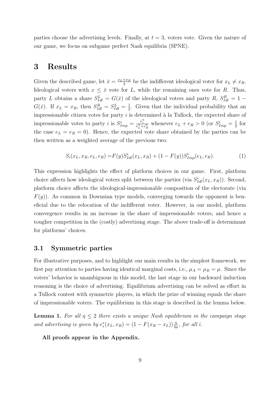parties choose the advertising levels. Finally, at  $t = 3$ , voters vote. Given the nature of our game, we focus on subgame perfect Nash equilibria (SPNE).

## 3 Results

Given the described game, let  $\bar{x} = \frac{x_L + x_R}{2}$  $\frac{+x_R}{2}$  be the indifferent ideological voter for  $x_L \neq x_R$ . Ideological voters with  $x \leq \bar{x}$  vote for L, while the remaining ones vote for R. Thus, party L obtains a share  $S_{Idl}^L = G(\bar{x})$  of the ideological voters and party R,  $S_{Idl}^R = 1 G(\bar{x})$ . If  $x_L = x_R$ , then  $S_{Idl}^R = S_{Idl}^L = \frac{1}{2}$  $\frac{1}{2}$ . Given that the individual probability that an impressionable citizen votes for party  $i$  is determined à la Tullock, the expected share of impressionable votes to party *i* is  $S_{Imp}^i = \frac{e_i^{\eta}}{e_L^{\eta} + e_R^{\eta}}$  whenever  $e_L + e_R > 0$  (or  $S_{Imp}^i = \frac{1}{2}$  $rac{1}{2}$  for the case  $e_L = e_R = 0$ ). Hence, the expected vote share obtained by the parties can be then written as a weighted average of the previous two:

<span id="page-10-1"></span>
$$
S_i(x_L, x_R, e_L, e_R) = F(y)S_{Id}^i(x_L, x_R) + (1 - F(y))S_{Imp}^i(e_L, e_R).
$$
 (1)

This expression highlights the effect of platform choices in our game. First, platform choice affects how ideological voters split between the parties (via  $S^i_{Id}(x_L, x_R)$ ). Second, platform choice affects the ideological-impressionable composition of the electorate (via  $F(y)$ ). As common in Downsian type models, converging towards the opponent is beneficial due to the relocation of the indifferent voter. However, in our model, platform convergence results in an increase in the share of impressionable voters, and hence a tougher competition in the (costly) advertising stage. The above trade-off is determinant for platforms' choices.

#### 3.1 Symmetric parties

For illustrative purposes, and to highlight our main results in the simplest framework, we first pay attention to parties having identical marginal costs, i.e.,  $\mu_A = \mu_B = \mu$ . Since the voters' behavior is unambiguous in this model, the last stage in our backward induction reasoning is the choice of advertising. Equilibrium advertising can be solved as effort in a Tullock contest with symmetric players, in which the prize of winning equals the share of impressionable voters. The equilibrium in this stage is described in the lemma below.

<span id="page-10-0"></span>**Lemma 1.** For all  $\eta \leq 2$  there exists a unique Nash equilibrium in the campaign stage and advertising is given by  $e_i^*(x_L, x_R) = (1 - F(x_R - x_L)) \frac{\eta}{4\mu}$ , for all i.

All proofs appear in the Appendix.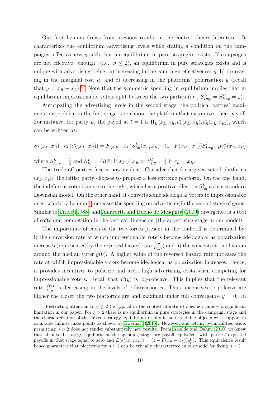Our first Lemma draws from previous results in the contest theory literature. It characterizes the equilibrium advertising levels while stating a condition on the campaigns' effectiveness  $\eta$  such that an equilibrium in pure strategies exists. If campaigns are not effective "enough" (i.e.,  $\eta \leq 2$ ), an equilibrium in pure strategies exists and is unique with advertising being: a) increasing in the campaign effectiveness  $\eta$ , b) decreasing in the marginal cost  $\mu$ , and c) decreasing in the platforms' polarization  $y$  (recall that  $y = x_R - x_L$ ).<sup>[10](#page-2-0)</sup> Note that the symmetric spending in equilibrium implies that in equilibrium impressionable voters split between the two parties (i.e.,  $S_{Imp}^L = S_{Imp}^R = \frac{1}{2}$  $(\frac{1}{2})$ .

Anticipating the advertising levels in the second stage, the political parties' maximization problem in the first stage is to choose the platform that maximizes their payoff. For instance, for party L, the payoff at  $t = 1$  is  $\Pi_L(x_L, x_R, e_L^*(x_L, x_R), e_R^*(x_L, x_R))$ , which can be written as:

$$
S_L(x_L, x_R) - c_L(e_L^*(x_L, x_R)) = F(x_R - x_L)S_{Idl}^L(x_L, x_R) + (1 - F(x_R - x_L))S_{Imp}^L - \mu e_L^*(x_L, x_R)
$$

where  $S_{Imp}^L = \frac{1}{2}$  $\frac{1}{2}$  and  $S_{Idl}^L = G(\bar{x})$  if  $x_L \neq x_R$  or  $S_{Idl}^L = \frac{1}{2}$  $rac{1}{2}$  if  $x_L = x_R$ .

The trade-off parties face is now evident. Consider that for a given set of platforms  $(x_L, x_R)$ , the leftist party chooses to propose a less extreme platform. On the one hand, the indifferent voter is more to the right, which has a positive effect on  $S_{Id}^L$  as in a standard Downsian model. On the other hand, it converts some ideological voters to impressionable ones, which by Lemma  $\prod$  increases the spending on advertising in the second stage of game. Similar to [Tirole](#page-42-4) [\(1988\)](#page-42-4) and [Ashworth and Bueno de Mesquita](#page-38-0) [\(2009\)](#page-38-0) divergence is a tool of softening competition in the vertical dimension (the advertising stage in our model).

The importance of each of the two forces present in the trade-off is determined by: i) the conversion rate at which impressionable voters become ideological as polarization increases (represented by the reversed hazard rate  $\frac{f(y)}{F(y)}$ ) and ii) the concentration of voters around the median voter  $g(0)$ . A higher value of the reversed hazard rate increases the rate at which impressionable voters become ideological as polarization increases. Hence, it provides incentives to polarize and avert high advertising costs when competing for impressionable voters. Recall that  $F(y)$  is log-concave. This implies that the relevant rate  $\frac{f(y)}{F(y)}$  is decreasing in the levels of polarization y. Thus, incentives to polarize are higher the closer the two platforms are and maximal under full convergence  $y = 0$ . In

<sup>&</sup>lt;sup>10</sup> Restricting attention to  $\eta \leq 2$  (as typical in the contest literature) does not impose a significant limitation in our paper. For  $\eta > 2$  there is no equilibrium in pure strategies in the campaign stage and the characterization of the mixed strategy equilibrium results in non-tractable objects with support in countable infinite mass points as shown by [Ewerhart](#page-39-10)  $(2015)$ . However, and letting technicalities aside, permitting  $\eta > 2$  does not render substantively new results. From [Alcalde and Dahm](#page-38-14) [\(2010\)](#page-38-14) we know that all mixed-strategy equilibria at the spending stage are payoff equivalent with parties' expected payoffs in that stage equal to zero and  $E(e_i^*(x_L, x_R)) = (1 - F(x_R - x_L))\frac{1}{2\mu})$ . This equivalence result hence guarantees that platforms for  $\eta > 2$  can be trivially characterized in our model by fixing  $\eta = 2$ .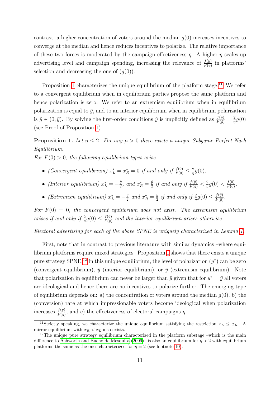contrast, a higher concentration of voters around the median  $q(0)$  increases incentives to converge at the median and hence reduces incentives to polarize. The relative importance of these two forces is moderated by the campaign effectiveness  $\eta$ . A higher  $\eta$  scales-up advertising level and campaign spending, increasing the relevance of  $\frac{f(y)}{F(y)}$  in platforms' selection and decreasing the one of  $(g(0))$ .

Proposition  $\Box$  characterizes the unique equilibrium of the platform stage. $\Box$  We refer to a convergent equilibrium when in equilibrium parties propose the same platform and hence polarization is zero. We refer to an extremism equilibrium when in equilibrium polarization is equal to  $\bar{y}$ , and to an interior equilibrium when in equilibrium polarization is  $\hat{y} \in (0, \bar{y})$ . By solving the first-order conditions  $\hat{y}$  is implicitly defined as  $\frac{f(\hat{y})}{F(\hat{y})} = \frac{2}{\eta}$  $rac{2}{\eta}g(0)$ (see Proof of Proposition  $\boxed{1}$ ).

<span id="page-12-0"></span>**Proposition 1.** Let  $\eta \leq 2$ . For any  $\mu > 0$  there exists a unique Subgame Perfect Nash Equilibrium.

For  $F(0) > 0$ , the following equilibrium types arise:

- (Convergent equilibrium)  $x_L^* = x_R^* = 0$  if and only if  $\frac{f(0)}{F(0)} \leq \frac{2}{\eta}$  $rac{2}{\eta}g(0),$
- (Interior equilibrium)  $x_L^* = -\frac{\hat{y}}{2}$  $\frac{\hat{y}}{2}$ , and  $x_R^* = \frac{\hat{y}}{2}$  $\frac{\hat{y}}{2}$  if and only if  $\frac{f(\bar{y})}{F(\bar{y})} < \frac{2}{\eta}$  $\frac{2}{\eta}g(0) < \frac{f(0)}{F(0)}$ .
- (Extremism equilibrium)  $x_L^* = -\frac{\bar{y}}{2}$  $\frac{\bar{y}}{2}$  and  $x_R^* = \frac{\bar{y}}{2}$  $\frac{\bar{y}}{2}$  if and only if  $\frac{2}{\eta}g(0) \leq \frac{f(\bar{y})}{F(\bar{y})}$  $rac{f(y)}{F(\bar{y})}$ .

For  $F(0) = 0$ , the convergent equilibrium does not exist. The extremism equilibrium arises if and only if  $\frac{2}{\eta}g(0) \leq \frac{f(\bar{y})}{F(\bar{y})}$  $\frac{f(y)}{F(\bar{y})}$  and the interior equilibrium arises otherwise.

Electoral advertising for each of the above SPNE is uniquely characterized in Lemma  $\overline{1}$ .

First, note that in contrast to previous literature with similar dynamics –where equilibrium platforms require mixed strategies  $-P$ roposition  $\sqrt{1}$  shows that there exists a unique pure strategy SPNE.<sup>[[12](#page-2-0)]</sup> In this unique equilibrium, the level of polarization  $(y^*)$  can be zero (convergent equilibrium),  $\hat{y}$  (interior equilibrium), or  $\bar{y}$  (extremism equilibrium). Note that polarization in equilibrium can never be larger than  $\bar{y}$  given that for  $y^* = \bar{y}$  all voters are ideological and hence there are no incentives to polarize further. The emerging type of equilibrium depends on: a) the concentration of voters around the median  $g(0)$ , b) the (conversion) rate at which impressionable voters become ideological when polarization increases  $\frac{f(y)}{F(y)}$ , and c) the effectiveness of electoral campaigns  $\eta$ .

<sup>&</sup>lt;sup>11</sup>Strictly speaking, we characterize the unique equilibrium satisfying the restriction  $x_L \leq x_R$ . A mirror equilibrium with  $x_R < x_L$  also exists.

<sup>&</sup>lt;sup>12</sup>The unique pure strategy equilibrium characterized in the platform substage –which is the main difference to [Ashworth and Bueno de Mesquita](#page-38-0)  $(2009)$ – is also an equilibrium for  $\eta > 2$  with equilibrium platforms the same as the ones characterized for  $\eta = 2$  (see footnote  $\boxed{10}$ ).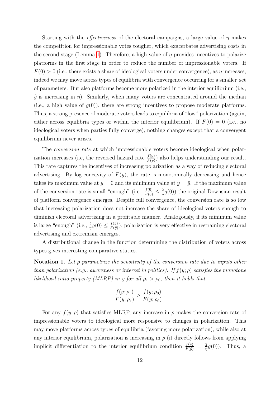Starting with the *effectiveness* of the electoral campaigns, a large value of  $\eta$  makes the competition for impressionable votes tougher, which exacerbates advertising costs in the second stage (Lemma [1\)](#page-10-0). Therefore, a high value of  $\eta$  provides incentives to polarize platforms in the first stage in order to reduce the number of impressionable voters. If  $F(0) > 0$  (i.e., there exists a share of ideological voters under convergence), as  $\eta$  increases, indeed we may move across types of equilibria with convergence occurring for a smaller set of parameters. But also platforms become more polarized in the interior equilibrium (i.e.,  $\hat{y}$  is increasing in  $\eta$ ). Similarly, when many voters are concentrated around the median (i.e., a high value of  $g(0)$ ), there are strong incentives to propose moderate platforms. Thus, a strong presence of moderate voters leads to equilibria of "low" polarization (again, either across equilibria types or within the interior equilibrium). If  $F(0) = 0$  (i.e., no ideological voters when parties fully converge), nothing changes except that a convergent equilibrium never arises.

The *conversion rate* at which impressionable voters become ideological when polarization increases (i.e, the reversed hazard rate  $\frac{f(y)}{F(y)}$ ) also helps understanding our result. This rate captures the incentives of increasing polarization as a way of reducing electoral advertising. By log-concavity of  $F(y)$ , the rate is monotonically decreasing and hence takes its maximum value at  $y = 0$  and its minimum value at  $y = \bar{y}$ . If the maximum value of the conversion rate is small "enough" (i.e.,  $\frac{f(0)}{F(0)} \leq \frac{2}{\eta}$  $\frac{2}{\eta}g(0)$ ) the original Downsian result of platform convergence emerges. Despite full convergence, the conversion rate is so low that increasing polarization does not increase the share of ideological voters enough to diminish electoral advertising in a profitable manner. Analogously, if its minimum value is large "enough" (i.e.,  $\frac{2}{\eta}g(0) \leq \frac{f(\bar{y})}{F(\bar{y})}$  $\frac{f(y)}{F(\bar{y})}$ , polarization is very effective in restraining electoral advertising and extremism emerges.

A distributional change in the function determining the distribution of voters across types gives interesting comparative statics.

Notation 1. Let  $\rho$  parametrize the sensitivity of the conversion rate due to inputs other than polarization (e.g., awareness or interest in politics). If  $f(y; \rho)$  satisfies the monotone likelihood ratio property (MLRP) in y for all  $\rho_1 > \rho_0$ , then it holds that

$$
\frac{f(y; \rho_1)}{F(y; \rho_1)} \ge \frac{f(y; \rho_0)}{F(y; \rho_0)}.
$$

For any  $f(y; \rho)$  that satisfies MLRP, any increase in  $\rho$  makes the conversion rate of impressionable voters to ideological more responsive to changes in polarization. This may move platforms across types of equilibria (favoring more polarization), while also at any interior equilibrium, polarization is increasing in  $\rho$  (it directly follows from applying implicit differentiation to the interior equilibrium condition  $\frac{f(\hat{y})}{F(\hat{y})} = \frac{2}{\eta}$  $\frac{2}{\eta}g(0)$ ). Thus, a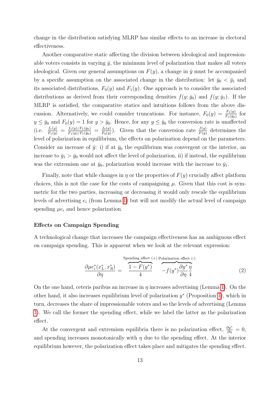change in the distribution satisfying MLRP has similar effects to an increase in electoral effectiveness.

Another comparative static affecting the division between ideological and impressionable voters consists in varying  $\bar{y}$ , the minimum level of polarization that makes all voters ideological. Given our general assumptions on  $F(y)$ , a change in  $\bar{y}$  must be accompanied by a specific assumption on the associated change in the distribution: let  $\bar{y}_0 < \bar{y}_1$  and its associated distributions,  $F_0(y)$  and  $F_1(y)$ . One approach is to consider the associated distributions as derived from their corresponding densities  $f(y; \bar{y}_0)$  and  $f(y; \bar{y}_1)$ . If the MLRP is satisfied, the comparative statics and intuitions follows from the above discussion. Alternatively, we could consider truncations. For instance,  $F_0(y) = \frac{F_1(y)}{F_1(\bar{y}_0)}$  for  $y \leq \bar{y}_0$  and  $F_0(y) = 1$  for  $y > \bar{y}_0$ . Hence, for any  $y \leq \bar{y}_0$  the conversion rate is unaffected (i.e.  $\frac{f_1(y)}{F_1(y)} = \frac{f_1(y)/F_1(\bar{y}_0)}{F_1(y)/F_1(\bar{y}_0)} = \frac{f_0(y)}{F_0(y)}$  $\frac{f_0(y)}{F_0(y)}$ . Given that the conversion rate  $\frac{f(y)}{F(y)}$  determines the level of polarization in equilibrium, the effects on polarization depend on the parameters. Consider an increase of  $\bar{y}$ : i) if at  $\bar{y}_0$  the equilibrium was convergent or the interior, an increase to  $\bar{y}_1 > \bar{y}_0$  would not affect the level of polarization, ii) if instead, the equilibrium was the extremism one at  $\bar{y}_0$ , polarization would increase with the increase to  $\bar{y}_1$ .

Finally, note that while changes in  $\eta$  or the properties of  $F(y)$  crucially affect platform choices, this is not the case for the costs of campaigning  $\mu$ . Given that this cost is symmetric for the two parties, increasing or decreasing it would only rescale the equilibrium levels of advertising  $e_i$  (from Lemma [1\)](#page-10-0) but will not modify the actual level of campaign spending  $\mu e_i$  and hence polarization.

#### Effects on Campaign Spending

A technological change that increases the campaign effectiveness has an ambiguous effect on campaign spending. This is apparent when we look at the relevant expression:

<span id="page-14-0"></span>
$$
\frac{\partial \mu e_i^*(x_L^*, x_R^*)}{\partial \eta} = \frac{1 - F(y^*)}{4} \underbrace{\overbrace{1 - F(y^*)}^{\text{Spending effect (+) Polarization effect (-)}}}_{-\int (y^*) \frac{\partial y^*}{\partial \eta} \frac{\eta}{4}}
$$
(2)

On the one hand, ceteris paribus an increase in  $\eta$  increases advertising (Lemma [1\)](#page-10-0). On the other hand, it also increases equilibrium level of polarization  $y^*$  (Proposition  $\boxed{1}$ ), which in turn, decreases the share of impressionable voters and so the levels of advertising (Lemma [1\)](#page-10-0). We call the former the spending effect, while we label the latter as the polarization effect.

At the convergent and extremism equilibria there is no polarization effect,  $\frac{\partial y^*}{\partial \eta} = 0$ , and spending increases monotonically with  $\eta$  due to the spending effect. At the interior equilibrium however, the polarization effect takes place and mitigates the spending effect.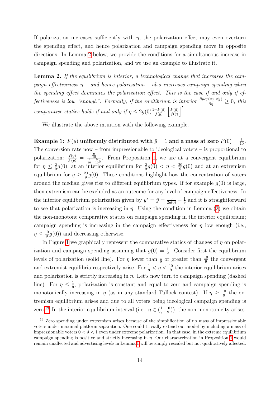If polarization increases sufficiently with  $\eta$ , the polarization effect may even overturn the spending effect, and hence polarization and campaign spending move in opposite directions. In Lemma [2](#page-15-0) below, we provide the conditions for a simultaneous increase in campaign spending and polarization, and we use an example to illustrate it.

<span id="page-15-0"></span>Lemma 2. If the equilibrium is interior, a technological change that increases the campaign effectiveness  $\eta$  – and hence polarization – also increases campaign spending when the spending effect dominates the polarization effect. This is the case if and only if effectiveness is low "enough". Formally, if the equilibrium is interior  $\frac{\partial \mu e_i^*(x_L^*, x_R^*)}{\partial \eta} \geq 0$ , this comparative statics holds if and only if  $\eta \leq 2g(0) \frac{1-F(\hat{y})}{f(\hat{y})} \left[ \frac{F(\hat{y})}{f(\hat{y})} \right]$  $\frac{F(\hat{y})}{f(\hat{y})}\bigg]$ .

We illustrate the above intuition with the following example.

Example 1:  $F(y)$  uniformly distributed with  $\bar{y} = 1$  and a mass at zero  $F(0) = \frac{1}{10}$ . The conversion rate now – from impressionable to ideological voters – is proportional to polarization:  $\frac{f(y)}{F(y)} = \frac{\frac{9}{10}}{\frac{1}{10} + \frac{9}{10}y}$ . From Proposition [1,](#page-12-0) we are at a convergent equilibrium for  $\eta \leq \frac{2}{9}$  $\frac{2}{9}g(0)$ , at an interior equilibrium for  $\frac{2}{9}g(0) < \eta < \frac{20}{9}g(0)$  and at an extremism equilibrium for  $\eta \geq \frac{20}{9}$  $\frac{20}{9}g(0)$ . These conditions highlight how the concentration of voters around the median gives rise to different equilibrium types. If for example  $g(0)$  is large, then extremism can be excluded as an outcome for any level of campaign effectiveness. In the interior equilibrium polarization given by  $y^* = \hat{y} = \frac{\eta}{2g(0)} - \frac{1}{9}$  $\frac{1}{9}$  and it is straightforward to see that polarization is increasing in  $\eta$ . Using the condition in Lemma [\(2\)](#page-15-0) we obtain the non-monotone comparative statics on campaign spending in the interior equilibrium; campaign spending is increasing in the campaign effectiveness for  $\eta$  low enough (i.e.,  $\eta \leq \frac{10}{9}$  $\frac{10}{9}g(0)$  and decreasing otherwise.

In Figure  $\overline{1}$  we graphically represent the comparative statics of changes of  $\eta$  on polarization and campaign spending assuming that  $g(0) = \frac{1}{2}$ . Consider first the equilibrium levels of polarization (solid line). For  $\eta$  lower than  $\frac{1}{9}$  or greater than  $\frac{10}{9}$  the convergent and extremist equilibria respectively arise. For  $\frac{1}{9} < \eta < \frac{10}{9}$  the interior equilibrium arises and polarization is strictly increasing in  $\eta$ . Let's now turn to campaign spending (dashed line). For  $\eta \leq \frac{1}{9}$  $\frac{1}{9}$ , polarization is constant and equal to zero and campaign spending is monotonically increasing in  $\eta$  (as in any standard Tullock contest). If  $\eta \geq \frac{10}{9}$  $rac{10}{9}$  the extremism equilibrium arises and due to all voters being ideological campaign spending is zero.<sup>[[13](#page-2-0)]</sup> In the interior equilibrium interval (i.e.,  $\eta \in (\frac{1}{9})$  $\frac{1}{9}, \frac{10}{9}$  $\frac{10}{9}$ ), the non-monotonicity arises.

<sup>&</sup>lt;sup>13</sup> Zero spending under extremism arises because of the simplification of no mass of impressionable voters under maximal platform separation. One could trivially extend our model by including a mass of impressionable voters  $0 < \delta < 1$  even under extreme polarization. In that case, in the extreme equilibrium campaign spending is positive and strictly increasing in  $\eta$ . Our characterization in Proposition  $\Pi$  would remain unaffected and advertising levels in Lemma  $\prod$  will be simply rescaled but not qualitatively affected.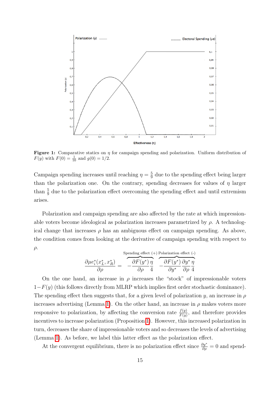<span id="page-16-0"></span>

**Figure 1:** Comparative statics on  $\eta$  for campaign spending and polarization. Uniform distribution of  $F(y)$  with  $F(0) = \frac{1}{10}$  and  $g(0) = 1/2$ .

Campaign spending increases until reaching  $\eta = \frac{5}{9}$  $\frac{5}{9}$  due to the spending effect being larger than the polarization one. On the contrary, spending decreases for values of  $\eta$  larger than  $\frac{5}{9}$  due to the polarization effect overcoming the spending effect and until extremism arises.

Polarization and campaign spending are also affected by the rate at which impressionable voters become ideological as polarization increases parametrized by  $\rho$ . A technological change that increases  $\rho$  has an ambiguous effect on campaign spending. As above, the condition comes from looking at the derivative of campaign spending with respect to  $\rho$ .

$$
\frac{\partial \mu e_i^*(x_L^*, x_R^*)}{\partial \rho} = \frac{\partial F(y^*)}{\partial \rho} \frac{\eta}{4} \frac{\partial F(y^*)}{\partial y^*} \frac{\eta}{\partial y^*} \frac{\partial F(y^*)}{\partial \rho} \frac{\partial y^*}{\partial \rho}
$$

On the one hand, an increase in  $\rho$  increases the "stock" of impressionable voters  $1-F(y)$  (this follows directly from MLRP which implies first order stochastic dominance). The spending effect then suggests that, for a given level of polarization y, an increase in  $\rho$ increases advertising (Lemma [1\)](#page-10-0). On the other hand, an increase in  $\rho$  makes voters more responsive to polarization, by affecting the conversion rate  $\frac{f(y)}{F(y)}$ , and therefore provides incentives to increase polarization (Proposition [1\)](#page-12-0). However, this increased polarization in turn, decreases the share of impressionable voters and so decreases the levels of advertising (Lemma  $\Pi$ ). As before, we label this latter effect as the polarization effect.

At the convergent equilibrium, there is no polarization effect since  $\frac{\partial y^*}{\partial \rho} = 0$  and spend-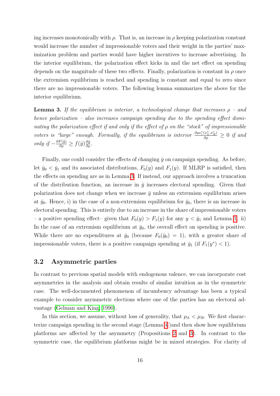ing increases monotonically with  $\rho$ . That is, an increase in  $\rho$  keeping polarization constant would increase the number of impressionable voters and their weight in the parties' maximization problem and parties would have higher incentives to increase advertising. In the interior equilibrium, the polarization effect kicks in and the net effect on spending depends on the magnitude of these two effects. Finally, polarization is constant in  $\rho$  once the extremism equilibrium is reached and spending is constant and equal to zero since there are no impressionable voters. The following lemma summarizes the above for the interior equilibrium.

<span id="page-17-0"></span>**Lemma 3.** If the equilibrium is interior, a technological change that increases  $\rho$  – and hence polarization – also increases campaign spending due to the spending effect dominating the polarization effect if and only if the effect of  $\rho$  on the "stock" of impressionable voters is "large" enough. Formally, if the equilibrium is interior  $\frac{\partial \mu e_i^*(x_L^*, x_R^*)}{\partial \rho} \geq 0$  if and *only* if  $-\frac{\partial F(\hat{y})}{\partial \rho}$  ≥  $f(\hat{y})\frac{\partial \hat{y}}{\partial \rho}$ .

Finally, one could consider the effects of changing  $\bar{y}$  on campaign spending. As before, let  $\bar{y}_0 < \bar{y}_1$  and its associated distributions,  $F_0(y)$  and  $F_1(y)$ . If MLRP is satisfied, then the effects on spending are as in Lemma  $\overline{3}$ . If instead, our approach involves a truncation of the distribution function, an increase in  $\bar{y}$  increases electoral spending. Given that polarization does not change when we increase  $\bar{y}$  unless an extremism equilibrium arises at  $\bar{y}_0$ . Hence, i) in the case of a non-extremism equilibrium for  $\bar{y}_0$ , there is an increase in electoral spending. This is entirely due to an increase in the share of impressionable voters – a positive spending effect– given that  $F_0(y) > F_1(y)$  for any  $y < \bar{y}_1$  and Lemma  $\boxed{1}$  ii) In the case of an extremism equilibrium at  $\bar{y}_0$ , the overall effect on spending is positive. While there are no expenditures at  $\bar{y}_0$  (because  $F_0(\bar{y}_0) = 1$ ), with a greater share of impressionable voters, there is a positive campaign spending at  $\bar{y}_1$  (if  $F_1(y^*) < 1$ ).

#### 3.2 Asymmetric parties

In contrast to previous spatial models with endogenous valence, we can incorporate cost asymmetries in the analysis and obtain results of similar intuition as in the symmetric case. The well-documented phenomenon of incumbency advantage has been a typical example to consider asymmetric elections where one of the parties has an electoral ad-vantage [\(Gelman and King, 1990\)](#page-40-10).

In this section, we assume, without loss of generality, that  $\mu_L < \mu_R$ . We first characterize campaign spending in the second stage (Lemma  $\frac{1}{4}$ ) and then show how equilibrium platforms are affected by the asymmetry (Propositions  $\overline{2}$  and  $\overline{3}$ ). In contrast to the symmetric case, the equilibrium platforms might be in mixed strategies. For clarity of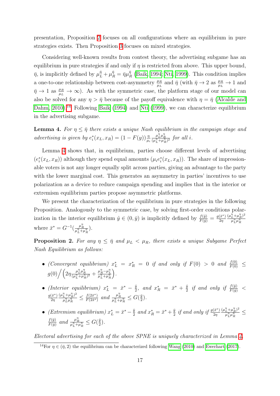presentation, Proposition  $\boxed{2}$  focuses on all configurations where an equilibrium in pure strategies exists. Then Proposition [3](#page-20-0) focuses on mixed strategies.

Considering well-known results from contest theory, the advertising subgame has an equilibrium in pure strategies if and only if  $\eta$  is restricted from above. This upper bound,  $\bar{\eta}$ , is implicitly defined by  $\mu_L^{\bar{\eta}} + \mu_R^{\bar{\eta}} = \bar{\eta} \mu_I^{\bar{\eta}}$  $R_R^{\eta}$  [\(Baik, 1994;](#page-38-15) [Nti, 1999\)](#page-41-14). This condition implies a one-to-one relationship between cost-asymmetry  $\frac{\mu_R}{\mu_L}$  and  $\bar{\eta}$  (with  $\bar{\eta} \to 2$  as  $\frac{\mu_R}{\mu_L} \to 1$  and  $\bar{\eta} \to 1$  as  $\frac{\mu_R}{\mu_L} \to \infty$ ). As with the symmetric case, the platform stage of our model can also be solved for any  $\eta > \bar{\eta}$  because of the payoff equivalence with  $\eta = \bar{\eta}$  [\(Alcalde and](#page-38-14)  $\Delta$ Dahm,  $2010$ .<sup>[14](#page-2-0)</sup> Following [Baik](#page-38-15) [\(1994\)](#page-38-15) and [Nti](#page-41-14) [\(1999\)](#page-41-14), we can characterize equilibrium in the advertising subgame.

<span id="page-18-0"></span>**Lemma 4.** For  $\eta \leq \bar{\eta}$  there exists a unique Nash equilibrium in the campaign stage and advertising is given by  $e_i^*(x_L, x_R) = (1 - F(y)) \frac{\eta}{\mu_i}$  $\frac{\mu_L^{\eta} \mu_R^{\eta}}{(\mu_L^{\eta} + \mu_R^{\eta})^2}$  for all *i*.

Lemma  $\overline{4}$  shows that, in equilibrium, parties choose different levels of advertising  $(e_i^*(x_L, x_R))$  although they spend equal amounts  $(\mu_i e_i^*(x_L, x_R))$ . The share of impressionable voters is not any longer equally split across parties, giving an advantage to the party with the lower marginal cost. This generates an asymmetry in parties' incentives to use polarization as a device to reduce campaign spending and implies that in the interior or extremism equilibrium parties propose asymmetric platforms.

We present the characterization of the equilibrium in pure strategies in the following Proposition. Analogously to the symmetric case, by solving first-order conditions polarization in the interior equilibrium  $\hat{y} \in (0, \bar{y})$  is implicitly defined by  $\frac{f(\hat{y})}{F(\hat{y})} = \frac{g(\bar{x}^*)}{2\eta}$  $2<sub>η</sub>$  $(\mu_L^{\eta}+\mu_R^{\eta})^2$  $\overline{\mu_L^\eta\mu_R^\eta}$ where  $\bar{x}^* = G^{-1}(\frac{\mu_R^n}{\mu_L^n + \mu_R^n}).$ 

<span id="page-18-1"></span>**Proposition 2.** For any  $\eta \leq \bar{\eta}$  and  $\mu_L < \mu_R$ , there exists a unique Subgame Perfect Nash Equilibrium as follows:

- (Convergent equilibrium)  $x_L^* = x_R^* = 0$  if and only if  $F(0) > 0$  and  $\frac{f(0)}{F(0)} \leq$  $g(0)\Big/\Big(2\eta \frac{\mu_L^n \mu_R^n}{(\mu_L^n + \mu_R^n)^2} + \frac{\mu_R^n - \mu_L^n}{\mu_L^n + \mu_R^n}$ .
- (Interior equilibrium)  $x_L^* = \bar{x}^* \frac{\hat{y}}{2}$  $\frac{\hat{y}}{2}$ , and  $x_R^* = \bar{x}^* + \frac{\hat{y}}{2}$  $\frac{\hat{y}}{2}$  if and only if  $\frac{f(\bar{y})}{F(\bar{y})}$  <  $g(\bar{x}^*)$  $2\eta$  $(\mu_L^{\eta} + \mu_R^{\eta})^2$  $\frac{f_L^{\eta} + \mu_R^{\eta})^2}{\mu_L^{\eta} \mu_R^{\eta}} \leq \frac{f(2\bar{x}^*)}{F(2\bar{x}^*)}$  $\frac{f(2\bar{x}^*)}{F(2\bar{x}^*)}$  and  $\frac{\mu_R^{\eta}}{\mu_L^{\eta} + \mu_R^{\eta}} \leq G(\frac{\bar{y}}{2})$  $\frac{y}{2}$ .
- (Extremism equilibrium)  $x_L^* = \bar{x}^* \frac{\bar{y}}{2}$  $\frac{\bar{y}}{2}$  and  $x_R^* = \bar{x}^* + \frac{\bar{y}}{2}$  $\frac{\bar{y}}{2}$  if and only if  $\frac{g(\bar{x}^*)}{2\eta}$  $2\eta$  $(\mu_L^{\eta}+\mu_R^{\eta})^2$  $\frac{L^+\mu_R^-}{\mu_L^n\mu_R^n} \leq$  $f(\bar{y})$  $\frac{f(\bar{y})}{F(\bar{y})}$  and  $\frac{\mu_R^{\eta}}{\mu_L^{\eta} + \mu_R^{\eta}} \leq G(\frac{\bar{y}}{2})$  $\frac{\bar{y}}{2}$ ).

Electoral advertising for each of the above SPNE is uniquely characterized in Lemma  $\overline{A}$ .

<sup>&</sup>lt;sup>14</sup>For  $\eta \in (\bar{\eta}, 2)$  the equilibrium can be characterized following [Wang](#page-42-5) [\(2010\)](#page-42-5) and [Ewerhart](#page-39-11) [\(2017\)](#page-39-11).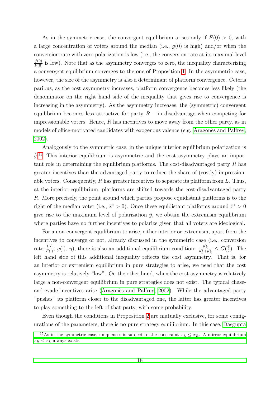As in the symmetric case, the convergent equilibrium arises only if  $F(0) > 0$ , with a large concentration of voters around the median (i.e.,  $q(0)$  is high) and/or when the conversion rate with zero polarization is low (i.e., the conversion rate at its maximal level  $\frac{f(0)}{F(0)}$  is low). Note that as the asymmetry converges to zero, the inequality characterizing a convergent equilibrium converges to the one of Proposition  $\boxed{1}$ . In the asymmetric case, however, the size of the asymmetry is also a determinant of platform convergence. Ceteris paribus, as the cost asymmetry increases, platform convergence becomes less likely (the denominator on the right hand side of the inequality that gives rise to convergence is increasing in the asymmetry). As the asymmetry increases, the (symmetric) convergent equilibrium becomes less attractive for party  $R$  —in disadvantage when competing for impressionable voters. Hence,  $R$  has incentives to move away from the other party, as in models of office-motivated candidates with exogenous valence (e.g.  $A$ ragonès and Palfrey [2002\)](#page-38-2).

Analogously to the symmetric case, in the unique interior equilibrium polarization is  $\hat{y}^{15}$  $\hat{y}^{15}$  $\hat{y}^{15}$ . This interior equilibrium is asymmetric and the cost asymmetry plays an important role in determining the equilibrium platforms. The cost-disadvantaged party R has greater incentives than the advantaged party to reduce the share of (costly) impressionable voters. Consequently,  $R$  has greater incentives to separate its platform from  $L$ . Thus, at the interior equilibrium, platforms are shifted towards the cost-disadvantaged party R. More precisely, the point around which parties propose equidistant platforms is to the right of the median voter (i.e.,  $\bar{x}^* > 0$ ). Once these equidistant platforms around  $\bar{x}^* > 0$ give rise to the maximum level of polarization  $\bar{y}$ , we obtain the extremism equilibrium where parties have no further incentives to polarize given that all voters are ideological.

For a non-convergent equilibrium to arise, either interior or extremism, apart from the incentives to converge or not, already discussed in the symmetric case (i.e., conversion rate  $\frac{f(\cdot)}{F(\cdot)}, g(\cdot), \eta$ , there is also an additional equilibrium condition:  $\frac{\mu_R^{\eta}}{\mu_L^{\eta} + \mu_R^{\eta}} \leq G(\frac{\bar{y}}{2})$  $\frac{y}{2}$ ). The left hand side of this additional inequality reflects the cost asymmetry. That is, for an interior or extremism equilibrium in pure strategies to arise, we need that the cost asymmetry is relatively "low". On the other hand, when the cost asymmetry is relatively large a non-convergent equilibrium in pure strategies does not exist. The typical chaseand-evade incentives arise ( $\angle$ Aragonès and Palfrey,  $\angle$ 2002). While the advantaged party "pushes" its platform closer to the disadvantaged one, the latter has greater incentives to play something to the left of that party, with some probability.

Even though the conditions in Proposition  $\sqrt{2}$  are mutually exclusive, for some configurations of the parameters, there is no pure strategy equilibrium. In this case, [Dasgupta](#page-39-12)

<sup>&</sup>lt;sup>15</sup>[As in the symmetric case, uniqueness is subject to the constraint](#page-39-12)  $x_L \leq x_R$ . A mirror equilibrium  $x_R < x_L$  [always exists.](#page-39-12)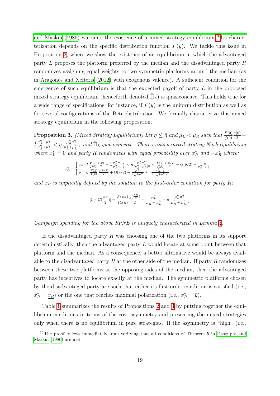[and Maskin](#page-39-12) [\(1986\)](#page-39-12) warrants the existence of a mixed-strategy equilibrium.<sup>[16](#page-2-0)</sup><sup>t</sup>s characterization depends on the specific distribution function  $F(y)$ . We tackle this issue in Proposition  $\overline{3}$ , where we show the existence of an equilibrium in which the advantaged party L proposes the platform preferred by the median and the disadvantaged party R randomizes assigning equal weights to two symmetric platforms around the median (as in Aragonès and Xefteris  $(2012)$  with exogenous valence). A sufficient condition for the emergence of such equilibrium is that the expected payoff of party L in the proposed mixed strategy equilibrium (henceforth denoted  $\bar{\Pi}_L$ ) is quasiconcave. This holds true for a wide range of specifications, for instance, if  $F(y)$  is the uniform distribution as well as for several configurations of the Beta distribution. We formally characterize this mixed strategy equilibrium in the following proposition.

<span id="page-20-0"></span>**Proposition 3.** (Mixed Strategy Equilibrium) Let  $\eta \leq \bar{\eta}$  and  $\mu_L < \mu_R$  such that  $\frac{F(0)}{f(0)}$  $rac{g(0)}{2}$  – 1 2  $\frac{\mu_R^n-\mu_L^n}{\mu_R^n+\mu_L^n} < \eta \frac{\mu_R^n\mu_L^n}{(\mu_R^n+\mu_L^n)^2}$  and  $\bar{\Pi}_L$  quasiconcave. There exists a mixed strategy Nash equilibrium where  $x_L^* = 0$  and party R randomizes with equal probability over  $x_R^*$  and  $-x_R^*$  where:

$$
x^*_R = \begin{cases} \frac{x_R}{f(0)} \frac{if\ (0)}{f(0)} \frac{g(0)}{2} - \frac{1}{2} \frac{\mu_R^n - \mu_L^n}{\mu_R^n + \mu_L^n} < \eta \frac{\mu_R^n \mu_L^n}{(\mu_R^n + \mu_L^n)^2} < \frac{F(\bar{y})}{f(\bar{y})} \frac{g(\bar{y}/2)}{2} + G(\bar{y}/2) - \frac{\mu_R^n}{\mu_R^n + \mu_L^n} \\ \bar{y} \quad if\ \frac{F(\bar{y})}{f(\bar{y})} \frac{g(\bar{y}/2)}{2} + G(\bar{y}/2) - \frac{\mu_R^n}{\mu_R^n + \mu_L^n} \leq \eta \frac{\mu_R^n \mu_L^n}{(\mu_R^n + \mu_L^n)^2} \end{cases}
$$

and  $x_R$  is implicitly defined by the solution to the first-order condition for party R:

$$
[1-G(\frac{x_R}{2})]=\frac{F(\underline{x_R})}{f(\underline{x_R})}\frac{g(\frac{x_R}{2})}{2}+\frac{\mu_L^{\eta}}{\mu_R^{\eta}+\mu_L^{\eta}}-\eta\frac{\mu_R^{\eta}\mu_L^{\eta}}{(\mu_R^{\eta}+\mu_L^{\eta})^2}
$$

#### Campaign spending for the above SPNE is uniquely characterized in Lemma  $\mathcal{A}$ .

If the disadvantaged party  $R$  was choosing one of the two platforms in its support deterministically, then the advantaged party L would locate at some point between that platform and the median. As a consequence, a better alternative would be always available to the disadvantaged party R at the other side of the median. If party R randomizes between these two platforms at the opposing sides of the median, then the advantaged party has incentives to locate exactly at the median. The symmetric platforms chosen by the disadvantaged party are such that either its first-order condition is satisfied (i.e.,  $x_R^* = \underline{x_R}$  or the one that reaches maximal polarization (i.e.,  $x_R^* = \bar{y}$ ).

Table  $\Box$  summarizes the results of Propositions  $\Box$  and  $\Box$  by putting together the equilibrium conditions in terms of the cost asymmetry and presenting the mixed strategies only when there is no equilibrium in pure strategies. If the asymmetry is "high" (i.e.,

<sup>&</sup>lt;sup>16</sup>The proof follows immediately from verifying that all conditions of Theorem 5 in [Dasgupta and](#page-39-12) [Maskin](#page-39-12) [\(1986\)](#page-39-12) are met.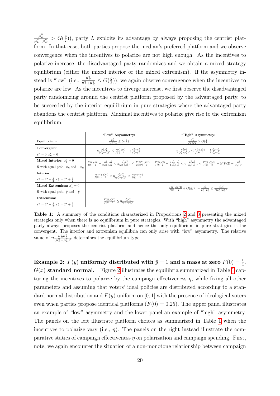$\frac{\mu_R^{\eta}}{\mu_L^{\eta}+\mu_R^{\eta}} > G(\frac{\bar{y}}{2})$  $(\frac{y}{2})$ , party L exploits its advantage by always proposing the centrist platform. In that case, both parties propose the median's preferred platform and we observe convergence when the incentives to polarize are not high enough. As the incentives to polarize increase, the disadvantaged party randomizes and we obtain a mixed strategy equilibrium (either the mixed interior or the mixed extremism). If the asymmetry instead is "low" (i.e.,  $\frac{\mu_R^n}{\mu_L^n + \mu_R^n} \leq G(\frac{\bar{y}}{2})$  $(\frac{y}{2})$ , we again observe convergence when the incentives to polarize are low. As the incentives to diverge increase, we first observe the disadvantaged party randomizing around the centrist platform proposed by the advantaged party, to be succeeded by the interior equilibrium in pure strategies where the advantaged party abandons the centrist platform. Maximal incentives to polarize give rise to the extremism equilibrium.

<span id="page-21-0"></span>

|                                                                                | "Low" Asymmetry:                                                                                                                                                             | "High" Asymmetry:                                                                                                                                                                                                                                                                                                                                                                                               |
|--------------------------------------------------------------------------------|------------------------------------------------------------------------------------------------------------------------------------------------------------------------------|-----------------------------------------------------------------------------------------------------------------------------------------------------------------------------------------------------------------------------------------------------------------------------------------------------------------------------------------------------------------------------------------------------------------|
| Equilibrium:                                                                   | $\frac{\mu_R^{\eta}}{\mu_t^{\eta} + \mu_D^{\eta}} \leq G(\frac{\bar{y}}{2})$                                                                                                 | $\frac{\mu_R^{\eta}}{\mu_L^{\eta} + \mu_R^{\eta}} > G(\frac{\bar{y}}{2})$                                                                                                                                                                                                                                                                                                                                       |
| Convergent:                                                                    | $\eta \frac{\mu_R^n \mu_L^n}{(\mu_R^n + \mu_I^n)^2} \leq \frac{F(0)}{f(0)} \frac{g(0)}{2} - \frac{1}{2} \frac{\mu_R^n - \mu_L^n}{\mu_R^n + \mu_I^n}$                         | $\eta \frac{\mu_R^n \mu_L^n}{(\mu_R^n + \mu_I^n)^2} \leq \frac{F(0)}{f(0)} \frac{g(0)}{2} - \frac{1}{2} \frac{\mu_R^n - \mu_L^n}{\mu_R^n + \mu_I^n}$                                                                                                                                                                                                                                                            |
| $x_I^* = 0, x_R^* = 0$                                                         |                                                                                                                                                                              |                                                                                                                                                                                                                                                                                                                                                                                                                 |
| Mixed Interior: $x_t^* = 0$                                                    |                                                                                                                                                                              | $\frac{F(0)}{f(0)}\frac{g(0)}{2} - \frac{1}{2}\frac{\mu_R^n - \mu_L^n}{\mu_R^n + \mu_I^n} < \eta \frac{\mu_R^n \mu_L^n}{(\mu_B^n + \mu_I^n)^2} \leq \frac{F(2\pi^*)}{f(2\pi^*)} \frac{g(\bar{x}^*)}{2} \left  \frac{F(0)}{f(0)}\frac{g(0)}{2} - \frac{1}{2}\frac{\mu_R^n - \mu_L^n}{\mu_B^n + \mu_I^n} < \eta \frac{\mu_R^n \mu_L^n}{(\mu_B^n + \mu_I^n)^2} < \frac{F(\bar{y})}{f(\bar{y})}\frac{g(\bar{y}/2)}$ |
| R with equal prob. $x_R$ and $-x_R$                                            |                                                                                                                                                                              |                                                                                                                                                                                                                                                                                                                                                                                                                 |
| Interior:                                                                      | $\frac{F(2\bar{x}^*)}{f(2\bar{x}^*)}\frac{g(\bar{x}^*)}{2} \leq \eta \frac{\mu_R^n \mu_L^n}{(\mu_R^n + \mu_L^n)^2} \leq \frac{F(\bar{y})}{f(\bar{y})}\frac{g(\bar{x}^*)}{2}$ |                                                                                                                                                                                                                                                                                                                                                                                                                 |
| $x_L^* = \bar{x}^* - \frac{\hat{y}}{2}, x_B^* = \bar{x}^* + \frac{\hat{y}}{2}$ |                                                                                                                                                                              |                                                                                                                                                                                                                                                                                                                                                                                                                 |
| Mixed Extremism: $x_t^* = 0$                                                   |                                                                                                                                                                              | $\frac{F(\bar{y})}{f(\bar{y})} \frac{g(\bar{y}/2)}{2} + G(\bar{y}/2) - \frac{\mu_B^{\eta}}{u_2^{\eta} + u_1^{\eta}} \leq \eta \frac{\mu_B^{\eta} \mu_L^{\eta}}{(u_2^{\eta} + u_1^{\eta})^2}$                                                                                                                                                                                                                    |
| R with equal prob. $\bar{y}$ and $-\bar{y}$                                    |                                                                                                                                                                              |                                                                                                                                                                                                                                                                                                                                                                                                                 |
| Extremism:                                                                     | $\frac{F(\bar{y})}{f(\bar{y})} \frac{g(\bar{x}^*)}{2} \leq \eta \frac{\mu_R^{\prime\prime} \mu_L^{\prime\prime}}{(\mu_R^{\prime\prime} + \mu_I^{\prime\prime})^2}$           |                                                                                                                                                                                                                                                                                                                                                                                                                 |
| $x_I^* = \bar{x}^* - \frac{\bar{y}}{2}, x_B^* = \bar{x}^* + \frac{\bar{y}}{2}$ |                                                                                                                                                                              |                                                                                                                                                                                                                                                                                                                                                                                                                 |

**Table 1:** A summary of the conditions characterized in Propositions  $\overline{2}$  and  $\overline{3}$  presenting the mixed strategies only when there is no equilibrium in pure strategies. With "high" asymmetry the advantaged party always proposes the centrist platform and hence the only equilibrium in pure strategies is the convergent. The interior and extremism equilibria can only arise with "low" asymmetry. The relative value of  $\eta \frac{\mu_R^n \mu_L^n}{(\mu_R^n + \mu_L^n)^2}$  determines the equilibrium type.

Example 2:  $F(y)$  uniformly distributed with  $\bar{y} = 1$  and a mass at zero  $F(0) = \frac{1}{4}$ .  $G(x)$  standard normal. Figure [2](#page-22-0) illustrates the equilibria summarized in Table  $\overline{1}$  capturing the incentives to polarize by the campaign effectiveness  $\eta$ , while fixing all other parameters and assuming that voters' ideal policies are distributed according to a standard normal distribution and  $F(y)$  uniform on [0, 1] with the presence of ideological voters even when parties propose identical platforms  $(F(0) = 0.25)$ . The upper panel illustrates an example of "low" asymmetry and the lower panel an example of "high" asymmetry. The panels on the left illustrate platform choices as summarized in Table  $\Box$  when the incentives to polarize vary (i.e.,  $\eta$ ). The panels on the right instead illustrate the comparative statics of campaign effectiveness  $\eta$  on polarization and campaign spending. First, note, we again encounter the situation of a non-monotone relationship between campaign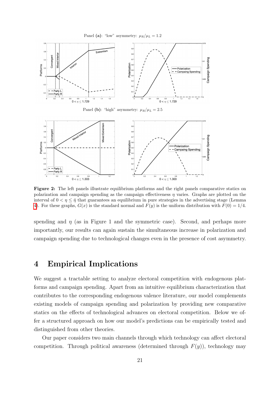<span id="page-22-0"></span>

Figure 2: The left panels illustrate equilibrium platforms and the right panels comparative statics on polarization and campaign spending as the campaign effectiveness  $\eta$  varies. Graphs are plotted on the interval of  $0 < \eta \leq \bar{\eta}$  that guarantees an equilibrium in pure strategies in the advertising stage (Lemma [4\)](#page-18-0). For these graphs,  $G(x)$  is the standard normal and  $F(y)$  is the uniform distribution with  $F(0) = 1/4$ .

spending and  $\eta$  (as in Figure 1 and the symmetric case). Second, and perhaps more importantly, our results can again sustain the simultaneous increase in polarization and campaign spending due to technological changes even in the presence of cost asymmetry.

## 4 Empirical Implications

We suggest a tractable setting to analyze electoral competition with endogenous platforms and campaign spending. Apart from an intuitive equilibrium characterization that contributes to the corresponding endogenous valence literature, our model complements existing models of campaign spending and polarization by providing new comparative statics on the effects of technological advances on electoral competition. Below we offer a structured approach on how our model's predictions can be empirically tested and distinguished from other theories.

Our paper considers two main channels through which technology can affect electoral competition. Through political awareness (determined through  $F(y)$ ), technology may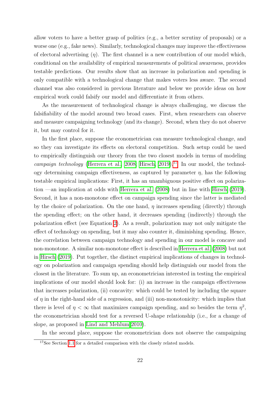allow voters to have a better grasp of politics (e.g., a better scrutiny of proposals) or a worse one (e.g., fake news). Similarly, technological changes may improve the effectiveness of electoral advertising  $(\eta)$ . The first channel is a new contribution of our model which, conditional on the availability of empirical measurements of political awareness, provides testable predictions. Our results show that an increase in polarization and spending is only compatible with a technological change that makes voters less aware. The second channel was also considered in previous literature and below we provide ideas on how empirical work could falsify our model and differentiate it from others.

As the measurement of technological change is always challenging, we discuss the falsifiability of the model around two broad cases. First, when researchers can observe and measure campaigning technology (and its change). Second, when they do not observe it, but may control for it.

In the first place, suppose the econometrician can measure technological change, and so they can investigate its effects on electoral competition. Such setup could be used to empirically distinguish our theory from the two closest models in terms of modeling campaign technology (Herrera et al.,  $2008$ ; Hirsch,  $2019$ ).<sup>[7]</sup> In our model, the technology determining campaign effectiveness, as captured by parameter  $\eta$ , has the following testable empirical implications: First, it has an unambiguous positive effect on polariza-tion —an implication at odds with [Herrera et al.](#page-40-1)  $(2008)$  but in line with [Hirsch](#page-40-6)  $(2019)$ . Second, it has a non-monotone effect on campaign spending since the latter is mediated by the choice of polarization. On the one hand,  $\eta$  increases spending (directly) through the spending effect; on the other hand, it decreases spending (indirectly) through the polarization effect (see Equation [2\)](#page-14-0). As a result, polarization may not only mitigate the effect of technology on spending, but it may also counter it, diminishing spending. Hence, the correlation between campaign technology and spending in our model is concave and non-monotone. A similar non-monotone effect is described in [Herrera et al.](#page-40-1) [\(2008\)](#page-40-1) but not in [Hirsch](#page-40-6) [\(2019\)](#page-40-6). Put together, the distinct empirical implications of changes in technology on polarization and campaign spending should help distinguish our model from the closest in the literature. To sum up, an econometrician interested in testing the empirical implications of our model should look for: (i) an increase in the campaign effectiveness that increases polarization, (ii) concavity: which could be tested by including the square of  $\eta$  in the right-hand side of a regression, and (iii) non-monotonicity: which implies that there is level of  $\eta < \infty$  that maximizes campaign spending, and so besides the term  $\eta^2$ , the econometrician should test for a reversed U-shape relationship (i.e., for a change of slope, as proposed in Lind and Mehlum  $2010$ .

In the second place, suppose the econometrician does not observe the campaigning

<sup>&</sup>lt;sup>17</sup>See Section  $\boxed{1.1}$  for a detailed comparison with the closely related models.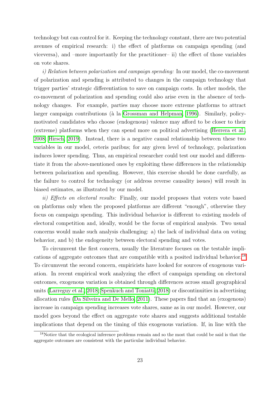technology but can control for it. Keeping the technology constant, there are two potential avenues of empirical research: i) the effect of platforms on campaign spending (and viceversa), and –more importantly for the practitioner– ii) the effect of those variables on vote shares.

i) Relation between polarization and campaign spending: In our model, the co-movement of polarization and spending is attributed to changes in the campaign technology that trigger parties' strategic differentiation to save on campaign costs. In other models, the co-movement of polarization and spending could also arise even in the absence of technology changes. For example, parties may choose more extreme platforms to attract larger campaign contributions ( $\alpha$  la [Grossman and Helpman, 1996\)](#page-40-2). Similarly, policymotivated candidates who choose (endogenous) valence may afford to be closer to their (extreme) platforms when they can spend more on political advertising [\(Herrera et al.,](#page-40-1) [2008;](#page-40-1) [Hirsch, 2019\)](#page-40-6). Instead, there is a negative causal relationship between these two variables in our model, ceteris paribus; for any given level of technology, polarization induces lower spending. Thus, an empirical researcher could test our model and differentiate it from the above-mentioned ones by exploiting these differences in the relationship between polarization and spending. However, this exercise should be done carefully, as the failure to control for technology (or address reverse causality issues) will result in biased estimates, as illustrated by our model.

ii) Effects on electoral results: Finally, our model proposes that voters vote based on platforms only when the proposed platforms are different "enough", otherwise they focus on campaign spending. This individual behavior is different to existing models of electoral competition and, ideally, would be the focus of empirical analysis. Two usual concerns would make such analysis challenging: a) the lack of individual data on voting behavior, and b) the endogeneity between electoral spending and votes.

To circumvent the first concern, usually the literature focuses on the testable impli-cations of aggregate outcomes that are compatible with a posited individual behavior.<sup>[[18](#page-2-0)]</sup> To circumvent the second concern, empiricists have looked for sources of exogenous variation. In recent empirical work analyzing the effect of campaign spending on electoral outcomes, exogenous variation is obtained through differences across small geographical units [\(Larreguy et al., 2018;](#page-40-12) [Spenkuch and Toniatti, 2018\)](#page-41-15) or discontinuities in advertising allocation rules [\(Da Silveira and De Mello, 2011\)](#page-39-13). These papers find that an (exogenous) increase in campaign spending increases vote shares, same as in our model. However, our model goes beyond the effect on aggregate vote shares and suggests additional testable implications that depend on the timing of this exogenous variation. If, in line with the

<sup>18</sup>Notice that the ecological inference problems remain and so the most that could be said is that the aggregate outcomes are consistent with the particular individual behavior.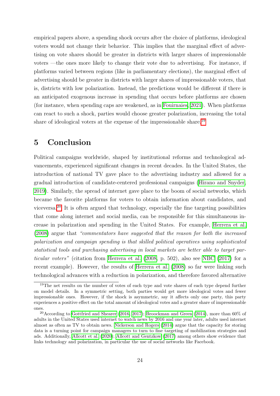empirical papers above, a spending shock occurs after the choice of platforms, ideological voters would not change their behavior. This implies that the marginal effect of advertising on vote shares should be greater in districts with larger shares of impressionable voters —the ones more likely to change their vote due to advertising. For instance, if platforms varied between regions (like in parliamentary elections), the marginal effect of advertising should be greater in districts with larger shares of impressionable voters, that is, districts with low polarization. Instead, the predictions would be different if there is an anticipated exogenous increase in spending that occurs before platforms are chosen (for instance, when spending caps are weakened, as in [Fouirnaies, 2021\)](#page-39-14). When platforms can react to such a shock, parties would choose greater polarization, increasing the total share of ideological voters at the expense of the impressionable share.<sup>[[19](#page-2-0)]</sup>

## 5 Conclusion

Political campaigns worldwide, shaped by institutional reforms and technological advancements, experienced significant changes in recent decades. In the United States, the introduction of national TV gave place to the advertising industry and allowed for a gradual introduction of candidate-centered professional campaigns [\(Hirano and Snyder,](#page-40-13) [2019\)](#page-40-13). Similarly, the spread of internet gave place to the boom of social networks, which became the favorite platforms for voters to obtain information about candidates, and viceversa.<sup>[20](#page-2-0)</sup> It is often argued that technology, especially the fine targeting possibilities that come along internet and social media, can be responsible for this simultaneous increase in polarization and spending in the United States. For example, [Herrera et al.](#page-40-1) [\(2008\)](#page-40-1) argue that "commentators have suggested that the reason for both the increased polarization and campaign spending is that skilled political operatives using sophisticated statistical tools and purchasing advertising in local markets are better able to target par*ticular voters*" (citation from [Herrera et al.](#page-40-1)  $(2008, p. 502)$  $(2008, p. 502)$ , also see [NBC](#page-41-16)  $(2017)$  for a recent example). However, the results of [Herrera et al.](#page-40-1) [\(2008\)](#page-40-1) so far were linking such technological advances with a reduction in polarization, and therefore favored alternative

<sup>&</sup>lt;sup>19</sup>The net results on the number of votes of each type and vote shares of each type depend further on model details. In a symmetric setting, both parties would get more ideological votes and fewer impressionable ones. However, if the shock is asymmetric, say it affects only one party, this party experiences a positive effect on the total amount of ideological votes and a greater share of impressionable ones.

<sup>&</sup>lt;sup>20</sup> According to [Gottfried and Shearer](#page-40-14) [\(2016,](#page-40-14) [2017\)](#page-40-15); [Broockman and Green](#page-39-15) [\(2014\)](#page-39-15), more than 60% of adults in the United States used internet to watch news by 2016 and one year later, adults used internet almost as often as TV to obtain news. [Nickerson and Rogers](#page-41-2) [\(2014\)](#page-41-2) argue that the capacity for storing data is a turning point for campaign managers to turn to fine targeting of mobilization strategies and ads. Additionally, [Allcott et al.](#page-38-17) [\(2020\)](#page-38-17); [Allcott and Gentzkow](#page-38-18) [\(2017\)](#page-38-18) among others show evidence that links technology and polarization, in particular the use of social networks like Facebook.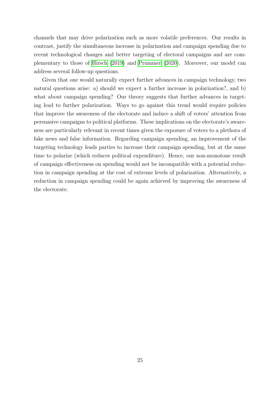channels that may drive polarization such as more volatile preferences. Our results in contrast, justify the simultaneous increase in polarization and campaign spending due to recent technological changes and better targeting of electoral campaigns and are complementary to those of [Hirsch](#page-40-6) [\(2019\)](#page-40-6) and [Prummer](#page-41-11) [\(2020\)](#page-41-11). Moreover, our model can address several follow-up questions.

Given that one would naturally expect further advances in campaign technology, two natural questions arise: a) should we expect a further increase in polarization?, and b) what about campaign spending? Our theory suggests that further advances in targeting lead to further polarization. Ways to go against this trend would require policies that improve the awareness of the electorate and induce a shift of voters' attention from persuasive campaigns to political platforms. These implications on the electorate's awareness are particularly relevant in recent times given the exposure of voters to a plethora of fake news and false information. Regarding campaign spending, an improvement of the targeting technology leads parties to increase their campaign spending, but at the same time to polarize (which reduces political expenditure). Hence, our non-monotone result of campaign effectiveness on spending would not be incompatible with a potential reduction in campaign spending at the cost of extreme levels of polarization. Alternatively, a reduction in campaign spending could be again achieved by improving the awareness of the electorate.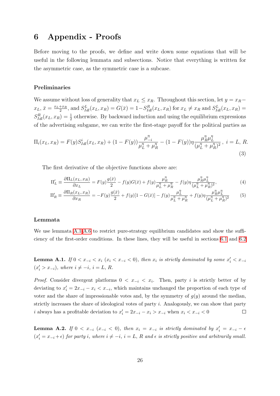## 6 Appendix - Proofs

Before moving to the proofs, we define and write down some equations that will be useful in the following lemmata and subsections. Notice that everything is written for the asymmetric case, as the symmetric case is a subcase.

#### Preliminaries

We assume without loss of generality that  $x_L \leq x_R$ . Throughout this section, let  $y = x_R$  $x_L, \bar{x} = \frac{x_L + x_R}{2}$  $\frac{f^{+x}R}{2}$ , and  $S_{Idl}^{L}(x_L, x_R) = G(\bar{x}) = 1 - S_{Idl}^{R}(x_L, x_R)$  for  $x_L \neq x_R$  and  $S_{Idl}^{L}(x_L, x_R) =$  $S_{Idl}^{R}(x_L, x_R) = \frac{1}{2}$  otherwise. By backward induction and using the equilibrium expressions of the advertising subgame, we can write the first-stage payoff for the political parties as

$$
\Pi_i(x_L, x_R) = F(y)S_{Idl}^i(x_L, x_R) + (1 - F(y))\frac{\mu_{-i}^{\eta}}{\mu_L^{\eta} + \mu_R^{\eta}} - (1 - F(y))\eta \frac{\mu_R^{\eta} \mu_L^{\eta}}{(\mu_L^{\eta} + \mu_R^{\eta})^2}, \ i = L, R.
$$
\n(3)

The first derivative of the objective functions above are:

<span id="page-27-0"></span>
$$
\Pi'_{L} \equiv \frac{\partial \Pi_{L}(x_{L}, x_{R})}{\partial x_{L}} = F(y)\frac{g(\bar{x})}{2} - f(y)G(\bar{x}) + f(y)\frac{\mu_{R}^{\eta}}{\mu_{L}^{\eta} + \mu_{R}^{\eta}} - f(y)\eta \frac{\mu_{R}^{\eta}\mu_{L}^{\eta}}{(\mu_{L}^{\eta} + \mu_{R}^{\eta})^{2}},
$$
\n(4)

<span id="page-27-2"></span><span id="page-27-1"></span>
$$
\Pi_R' \equiv \frac{\partial \Pi_R(x_L, x_R)}{\partial x_R} = -F(y)\frac{g(\bar{x})}{2} + f(y)[1 - G(\bar{x})] - f(y)\frac{\mu_L^{\eta}}{\mu_L^{\eta} + \mu_R^{\eta}} + f(y)\eta \frac{\mu_R^{\eta} \mu_L^{\eta}}{(\mu_L^{\eta} + \mu_R^{\eta})^2}
$$
(5)

#### Lemmata

We use lemmata  $\overline{A.1|A.6|}$  $\overline{A.1|A.6|}$  $\overline{A.1|A.6|}$  to restrict pure-strategy equilibrium candidates and show the sufficiency of the first-order conditions. In these lines, they will be useful in sections  $[6.1]$  and  $[6.2]$ 

**Lemma A.1.** If  $0 < x_{-i} < x_i$  ( $x_i < x_{-i} < 0$ ), then  $x_i$  is strictly dominated by some  $x'_i < x_{-i}$  $(x'_i > x_{-i}),$  where  $i \neq -i, i = L, R$ .

*Proof.* Consider divergent platforms  $0 < x_{-i} < x_i$ . Then, party i is strictly better of by deviating to  $x'_i = 2x_{-i} - x_i \lt x_{-i}$ , which maintains unchanged the proportion of each type of voter and the share of impressionable votes and, by the symmetry of  $q(y)$  around the median, strictly increases the share of ideological votes of party i. Analogously, we can show that party i always has a profitable deviation to  $x'_i = 2x_{-i} - x_i > x_{-i}$  when  $x_i < x_{-i} < 0$  $\Box$ 

**Lemma A.2.** If  $0 < x_{-i}$  ( $x_{-i} < 0$ ), then  $x_i = x_{-i}$  is strictly dominated by  $x'_i = x_{-i} - \epsilon$  $(x'_i = x_{-i} + \epsilon)$  for party i, where  $i \neq -i$ ,  $i = L$ , R and  $\epsilon$  is strictly positive and arbitrarily small.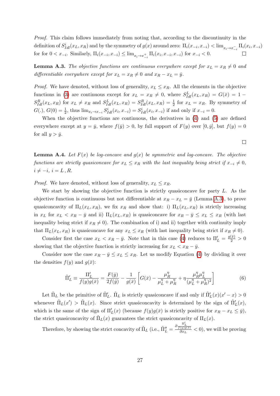Proof. This claim follows immediately from noting that, according to the discontinuity in the definition of  $S^i_{Idl}(x_L, x_R)$  and by the symmetry of  $g(x)$  around zero:  $\Pi_i(x_{-i}, x_{-i}) < \lim_{x_i \to x_{-i}^-} \Pi_i(x_i, x_{-i})$ for for  $0 < x_{-i}$ . Similarly,  $\Pi_i(x_{-i}, x_{-i}) \leq \lim_{x_i \to x_{-i}^+} \Pi_i(x_i, x_{-i}, x_{-i})$  for  $x_{-i} < 0$ .

**Lemma A.3.** The objective functions are continuous everywhere except for  $x_L = x_R \neq 0$  and differentiable everywhere except for  $x_L = x_R \neq 0$  and  $x_R - x_L = \bar{y}$ .

*Proof.* We have denoted, without loss of generality,  $x_L \leq x_R$ . All the elements in the objective functions in [\(3\)](#page-27-0) are continuous except for  $x_L = x_R \neq 0$ , where  $S_{Id}^L(x_L, x_R) = G(\bar{x}) = 1 S_{Idl}^R(x_L, x_R)$  for  $x_L \neq x_R$  and  $S_{Idl}^L(x_L, x_R) = S_{Idl}^R(x_L, x_R) = \frac{1}{2}$  for  $x_L = x_R$ . By symmetry of  $G(.)$ ,  $G(0) = \frac{1}{2}$ , thus  $\lim_{x_i \to x_{-i}} S^i_{Id}(x_i, x_{-i}) = S^i_{Id}(x_i, x_{-i})$  if and only if  $x_{-i} = 0$ .

When the objective functions are continuous, the derivatives in  $\left(\frac{1}{4}\right)$  and  $\left(\frac{5}{5}\right)$  are defined everywhere except at  $y = \bar{y}$ , where  $f(\bar{y}) > 0$ , by full support of  $F(y)$  over  $[0, \bar{y}]$ , but  $f(y) = 0$ for all  $y > \bar{y}$ .

**Lemma A.4.** Let  $F(x)$  be log-concave and  $g(x)$  be symmetric and log-concave. The objective functions are strictly quasiconcave for  $x_L \leq x_R$  with the last inequality being strict if  $x_{-i} \neq 0$ ,  $i \neq -i, i = L, R$ .

*Proof.* We have denoted, without loss of generality,  $x_L \leq x_R$ .

We start by showing the objective function is strictly quasiconcave for party  $L$ . As the objective function is continuous but not differentiable at  $x_R - x_L = \bar{y}$  (Lemma [A.3\)](#page-17-0), to prove quasiconcavity of  $\Pi_L(x_L, x_R)$ , we fix  $x_R$  and show that: i)  $\Pi_L(x_L, x_R)$  is strictly increasing in  $x_L$  for  $x_L < x_R - \bar{y}$  and ii)  $\Pi_L(x_L, x_R)$  is quasiconcave for  $x_R - \bar{y} \le x_L \le x_R$  (with last inequality being strict if  $x_R \neq 0$ . The combination of i) and ii) together with continuity imply that  $\Pi_L(x_L, x_R)$  is quasiconcave for any  $x_L \le x_R$  (with last inequality being strict if  $x_R \ne 0$ ).

Consider first the case  $x_L < x_R - \bar{y}$ . Note that in this case [\(4\)](#page-27-1) reduces to  $\Pi'_L = \frac{g(\bar{x})}{2} > 0$ showing that the objective function is strictly increasing for  $x_L < x_R - \bar{y}$ .

Consider now the case  $x_R - \bar{y} \leq x_L \leq x_R$ . Let us modify Equation [\(4\)](#page-27-1) by dividing it over the densities  $f(y)$  and  $q(\bar{x})$ :

$$
\tilde{\Pi}'_L \equiv \frac{\Pi'_L}{f(y)g(\bar{x})} = \frac{F(\hat{y})}{2f(\hat{y})} - \frac{1}{g(\bar{x})} \left[ G(\bar{x}) - \frac{\mu_R^{\eta} \mu_L}{\mu_L^{\eta} + \mu_R^{\eta}} + \eta \frac{\mu_R^{\eta} \mu_L^{\eta}}{(\mu_L^{\eta} + \mu_R^{\eta})^2} \right]
$$
(6)

Let  $\tilde{\Pi}_L$  be the primitive of  $\tilde{\Pi}'_L$ .  $\tilde{\Pi}_L$  is strictly quasiconcave if and only if  $\tilde{\Pi}'_L(x)(x'-x) > 0$ whenever  $\tilde{\Pi}_L(x') > \tilde{\Pi}_L(x)$ . Since strict quasiconcavity is determined by the sign of  $\tilde{\Pi}'_L(x)$ , which is the same of the sign of  $\Pi'_{L}(x)$  (because  $f(y)g(\bar{x})$  is strictly positive for  $x_R - x_L \leq \bar{y}$ ), the strict quasiconcavity of  $\tilde{\Pi}_L(x)$  guarantees the strict quasiconcavity of  $\Pi_L(x)$ .

Therefore, by showing the strict concavity of  $\tilde{\Pi}_L$  (i.e.,  $\tilde{\Pi}_L'' = \frac{\partial \frac{\Pi_L'}{f(y)g(\bar{x})}}{\partial x_L} < 0$ ), we will be proving

 $\Box$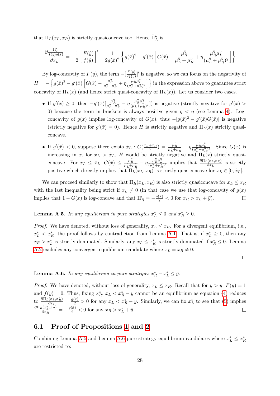that  $\Pi_L(x_L, x_R)$  is strictly quasiconcave too. Hence  $\tilde{\Pi}_L''$  is

$$
\frac{\partial \frac{\Pi_L'}{f(y)g(\bar x)}}{\partial x_L}=-\frac{1}{2}\left[\frac{F(\hat y)}{f(\hat y)}\right]'-\frac{1}{2g(\bar x)^2}\left\{g(\bar x)^2-g'(\bar x)\left[G(\bar x)-\frac{\mu_R^\eta}{\mu_L^\eta+\mu_R^\eta}+\eta\frac{\mu_R^\eta\mu_L^\eta}{(\mu_L^\eta+\mu_R^\eta)^2}\right]\right\}
$$

By log-concavity of  $F(y)$ , the term  $-\left[\frac{F(\hat{y})}{2f(\hat{y})}\right]$  $\frac{F(\hat{y})}{2f(\hat{y})}$  is negative, so we can focus on the negativity of  $H = -\left\{g(\bar{x})^2 - g'(\bar{x})\left[G(\bar{x}) - \frac{\mu_R^n}{\mu_L^n + \mu_R^n} + \eta \frac{\mu_R^n \mu_L^n}{(\mu_L^n + \mu_R^n)^2}\right]\right\}$  in the expression above to guarantee strict concavity of  $\tilde{\Pi}_L(x)$  (and hence strict quasi-concavity of  $\Pi_L(x)$ ). Let us consider two cases.

- If  $g'(\bar{x}) \geq 0$ , then  $-g'(\bar{x})\left[\frac{\mu_R^n}{\mu_L^n + \mu_R^n} \eta \frac{\mu_R^n \mu_L^n}{(\mu_L^n + \mu_R^n)^2}\right]$  is negative (strictly negative for  $g'(\bar{x}) >$ 0) because the term in brackets is always positive given  $\eta < \bar{\eta}$  (see Lemma [4\)](#page-18-0). Logconcavity of  $g(x)$  implies log-concavity of  $G(x)$ , thus  $-[g(\bar{x})^2 - g'(\bar{x})G(\bar{x})]$  is negative (strictly negative for  $g'(\bar{x}) = 0$ ). Hence H is strictly negative and  $\Pi_L(x)$  strictly quasiconcave.
- If  $g'(\bar{x}) < 0$ , suppose there exists  $\hat{x}_L : G(\frac{\hat{x}_L + x_R}{2}) = \frac{\mu_R^n}{\mu_L^n + \mu_R^n} \eta \frac{\mu_R^n \mu_L^n}{(\mu_L^n + \mu_R^n)^2}$ . Since  $G(x)$  is increasing in x, for  $x_L > \hat{x}_L$ , H would be strictly negative and  $\Pi_L(x)$  strictly quasiconcave. For  $x_L \leq \hat{x}_L$ ,  $G(\bar{x}) \leq \frac{\mu_R^n}{\mu_L^n + \mu_R^n} - \eta \frac{\mu_R^n \mu_L^n}{(\mu_L^n + \mu_R^n)^2}$  implies that  $\frac{\partial \Pi_L(x_L, x_R)}{\partial x_L}$  is strictly positive which directly implies that  $\Pi_L(x_L, x_R)$  is strictly quasiconcave for  $x_L \in [0, \hat{x}_L]$ .

We can proceed similarly to show that  $\Pi_R(x_L, x_R)$  is also strictly quasiconcave for  $x_L \le x_R$ with the last inequality being strict if  $x_L \neq 0$  (in that case we use that log-concavity of  $g(x)$ ) implies that  $1 - G(x)$  is log-concave and that  $\Pi'_R = -\frac{g(\bar{x})}{2} < 0$  for  $x_R > x_L + \bar{y}$ .  $\Box$ 

<span id="page-29-2"></span>**Lemma A.5.** In any equilibrium in pure strategies  $x_L^* \leq 0$  and  $x_R^* \geq 0$ .

*Proof.* We have denoted, without loss of generality,  $x_L \leq x_R$ . For a divergent equilibrium, i.e.,  $x_L^* < x_R^*$ , the proof follows by contradiction from Lemma [A.1.](#page-10-0) That is, if  $x_L^* \geq 0$ , then any  $x_R > x_L^*$  is strictly dominated. Similarly, any  $x_L \le x_R^*$  is strictly dominated if  $x_R^* \le 0$ . Lemma [A.2](#page-15-0) excludes any convergent equilibrium candidate where  $x_L = x_R \neq 0$ .

 $\Box$ 

<span id="page-29-0"></span>**Lemma A.6.** In any equilibrium in pure strategies  $x_R^* - x_L^* \leq \bar{y}$ .

*Proof.* We have denoted, without loss of generality,  $x_L \leq x_R$ . Recall that for  $y > \bar{y}$ ,  $F(y) = 1$ and  $f(y) = 0$ . Thus, fixing  $x_R^*, x_L < x_R^* - \bar{y}$  cannot be an equilibrium as equation  $\boxed{4}$  reduces to  $\frac{\partial \Pi_L(x_L, x_R^*)}{\partial x_L}$  $\frac{(x_L, x_R^*)}{\partial x_L} = \frac{g(\bar{x})}{2} > 0$  for any  $x_L < x_R^* - \bar{y}$ . Similarly, we can fix  $x_L^*$  to see that  $\left(\frac{5}{2}\right)$  implies  $\partial \Pi_R(x^*_L,x^-_R)$  $\frac{g(x_L^*, x_R)}{\partial x_R} = -\frac{g(\bar{x})}{2} < 0$  for any  $x_R > x_L^* + \bar{y}$ .

### <span id="page-29-1"></span>6.1 Proof of Propositions  $\boxed{1}$  and  $\boxed{2}$

Combining Lemma  $\overline{A.5}$  and Lemma  $\overline{A.6}$  pure strategy equilibrium candidates where  $x_L^* \leq x_R^*$ are restricted to: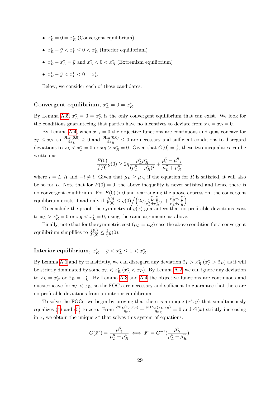- $x_L^* = 0 = x_R^*$  (Convergent equilibrium)
- $x_R^* \bar{y} < x_L^* \leq 0 < x_R^*$  (Interior equilibrium)
- $x_R^* x_L^* = \bar{y}$  and  $x_L^* < 0 < x_R^*$  (Extremism equilibrium)
- $x_R^* \bar{y} < x_L^* < 0 = x_R^*$

Below, we consider each of these candidates.

## Convergent equilibrium,  $x_L^* = 0 = x_R^*$ .

By Lemma  $\overline{A.5}$ ,  $x_L^* = 0 = x_R^*$  is the only convergent equilibrium that can exist. We look for the conditions guaranteeing that parties have no incentives to deviate from  $x_L = x_R = 0$ .

By Lemma  $\overline{A \cdot 4}$ , when  $x_{-i} = 0$  the objective functions are continuous and quasiconcave for  $x_L \leq x_R$ , so  $\frac{\partial \Pi_L(0,0)}{\partial x_L}$  $\frac{dL(L(0,0))}{dx_L} \geq 0$  and  $\frac{\partial \Pi_R(0,0)}{\partial x_R} \leq 0$  are necessary and sufficient conditions to disregard deviations to  $x_L < x_L^* = 0$  or  $x_R > x_R^* = 0$ . Given that  $G(0) = \frac{1}{2}$ , these two inequalities can be written as:

$$
\frac{F(0)}{f(0)}g(0) \ge 2\eta \frac{\mu_L^{\eta} \mu_R^{\eta}}{(\mu_L^{\eta} + \mu_R^{\eta})^2} + \frac{\mu_i^{\eta} - \mu_{-i}^{\eta}}{\mu_L^{\eta} + \mu_R^{\eta}}.
$$

where  $i = L, R$  and  $-i \neq i$ . Given that  $\mu_R \geq \mu_L$ , if the equation for R is satisfied, it will also be so for L. Note that for  $F(0) = 0$ , the above inequality is never satisfied and hence there is no convergent equilibrium. For  $F(0) > 0$  and rearranging the above expression, the convergent equilibrium exists if and only if  $\frac{f(0)}{F(0)} \leq g(0) / \left(2\eta \frac{\mu_L^{\eta} \mu_R^{\eta}}{(\mu_L^{\eta} + \mu_R^{\eta})^2} + \frac{\mu_R^{\eta} - \mu_L^{\eta}}{\mu_L^{\eta} + \mu_R^{\eta}}\right)$ .

To conclude the proof, the symmetry of  $g(x)$  guarantees that no profitable deviations exist to  $x_L > x_R^* = 0$  or  $x_R < x_L^* = 0$ , using the same arguments as above.

Finally, note that for the symmetric cost  $(\mu_L = \mu_R)$  case the above condition for a convergent equilibrium simplifies to  $\frac{f(0)}{F(0)} \leq \frac{2}{\eta}$  $rac{2}{\eta}g(0).$ 

## Interior equilibrium,  $x_R^* - \bar{y} < x_L^* \leq 0 < x_R^*$ .

By Lemma [A.1](#page-10-0) and by transitivity, we can disregard any deviation  $\tilde{x}_L > x_R^*$   $(x_L^* > \tilde{x}_R)$  as it will be strictly dominated by some  $x_L < x_R^*$   $(x_L^* < x_R)$ . By Lemma  $\boxed{A.2}$ , we can ignore any deviation to  $\tilde{x}_L = x_R^*$  or  $\tilde{x}_R = x_L^*$ . By Lemma  $\boxed{A.3}$  and  $\boxed{A.4}$  the objective functions are continuous and quasiconcave for  $x_L < x_R$ , so the FOCs are necessary and sufficient to guarantee that there are no profitable deviations from an interior equilibrium.

To solve the FOCs, we begin by proving that there is a unique  $(\bar{x}^*, \hat{y})$  that simultaneously equalizes [\(4\)](#page-27-1) and [\(5\)](#page-27-2) to zero. From  $\frac{\partial \Pi_L(x_L, x_R)}{\partial x_L} + \frac{\partial \Pi L_R(x_L, x_R)}{\partial x_R}$  $rac{R(x_L, x_R)}{\partial x_R} = 0$  and  $G(x)$  strictly increasing in x, we obtain the unique  $\bar{x}^*$  that solves this system of equations:

$$
G(\bar{x}^*) = \frac{\mu_R^{\eta}}{\mu_L^{\eta} + \mu_R^{\eta}} \iff \bar{x}^* = G^{-1}(\frac{\mu_R^{\eta}}{\mu_L^{\eta} + \mu_R^{\eta}}).
$$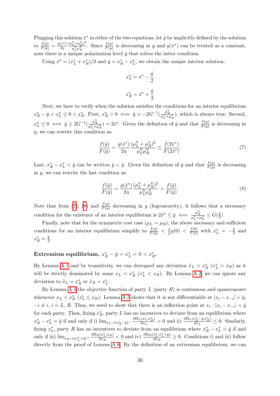Plugging this solution  $\bar{x}^*$  in either of the two equations, let  $\hat{y}$  be implicitly defined by the solution to  $\frac{f(\hat{y})}{F(\hat{y})} = \frac{g(\bar{x}^*)}{2\eta}$  $\overline{2\eta}$  $(\mu_L^{\eta} + \mu_R^{\eta})^2$  $\frac{\mu + \mu_R^n}{\mu_L^n \mu_R^n}$ . Since  $\frac{f(y)}{F(y)}$  is decreasing in y and  $g(\bar{x}^*)$  can be treated as a constant, note there is a unique polarization level  $\hat{y}$  that solves the latter condition.

Using  $\bar{x}^* = (x_L^* + x_R^*)/2$  and  $\hat{y} = x_R^* - x_L^*$ , we obtain the unique interior solution:

<span id="page-31-0"></span>
$$
x_L^* = \bar{x}^* - \frac{\hat{y}}{2}
$$

$$
x_R^* = \bar{x}^* + \frac{\hat{y}}{2}
$$

Next, we have to verify when the solution satisfies the conditions for an interior equilibrium  $x_R^* - \bar{y} < x_L^* \leq 0 < x_R^*$ . First,  $x_R^* > 0 \iff \hat{y} > -2G^{-1}(\frac{\mu_R^n}{\mu_L^n + \mu_R^n})$ , which is always true. Second, R  $x_L^* \leq 0 \iff \hat{y} \geq 2G^{-1}(\frac{\mu_R^n}{\mu_L^n + \mu_R^n}) = 2\bar{x}^*$ . Given the definition of  $\hat{y}$  and that  $\frac{f(y)}{F(y)}$  is decreasing in  $y$ , we can rewrite this condition as:

$$
\frac{f(\hat{y})}{F(\hat{y})} = \frac{g(\bar{x}^*)}{2\eta} \frac{(\mu_L^{\eta} + \mu_R^{\eta})^2}{\mu_L^{\eta} \mu_R^{\eta}} \le \frac{f(2\bar{x}^*)}{F(2\bar{x}^*)}.
$$
\n(7)

Last,  $x_R^* - x_L^* < \bar{y}$  can be written  $\hat{y} < \bar{y}$ . Given the definition of  $\hat{y}$  and that  $\frac{f(y)}{F(y)}$  is decreasing in  $y$ , we can rewrite the last condition as:

<span id="page-31-1"></span>
$$
\frac{f(\hat{y})}{F(\hat{y})} = \frac{g(\bar{x}^*)}{2\eta} \frac{(\mu_L^{\eta} + \mu_R^{\eta})^2}{\mu_L^{\eta} \mu_R^{\eta}} > \frac{f(\bar{y})}{F(\bar{y})}.
$$
\n(8)

Note that from  $\left(\frac{7}{7}\right)$ ,  $\left(\frac{8}{7}\right)$  and  $\frac{f(y)}{F(y)}$  decreasing in y (logconcavity), it follows that a necessary condition for the existence of an interior equilibrium is  $2\bar{x}^* \leq \bar{y} \iff \frac{\mu_R^n}{\mu_L^n + \mu_R^n} \leq G(\frac{\bar{y}}{2})$  $\frac{y}{2}$ 

Finally, note that for the symmetric cost case  $(\mu_L = \mu_R)$ , the above necessary and sufficient conditions for an interior equilibrium simplify to  $\frac{f(\bar{y})}{F(\bar{y})} < \frac{2}{\eta}$  $\frac{2}{\eta} g(0) \ < \ \frac{f(0)}{F(0)}$  with  $x^*_L \ = \ -\frac{\hat{y}}{2}$  $rac{y}{2}$  and  $x_R^* = \frac{\hat{y}}{2}$  $\frac{y}{2}$ .

## Extremism equilibrium,  $x_R^* - \bar{y} = x_L^* < 0 < x_R^*$ .

By Lemma  $\boxed{A.1}$  and by transitivity, we can disregard any deviation  $\tilde{x}_L > x_R^*$   $(x_L^* > \tilde{x}_R)$  as it will be strictly dominated by some  $x_L < x_R^*$  ( $x_L^* < x_R$ ). By Lemma [A.2,](#page-15-0) we can ignore any deviation to  $\tilde{x}_L = x_R^*$  or  $\tilde{x}_R = x_L^*$ .

By Lemma  $A.4$  the objective function of party L (party R) is continuous and quasiconcave whenever  $x_L < x_R^*$  ( $x_L^* \leq x_R$ ). Lemma [A.3](#page-17-0) shows that it is not differentiable at  $|x_i - x_{-i}| = \bar{y}$ ,  $-i \neq i, i = L, R$ . Thus, we need to show that there is an inflection point at  $x_i : |x_i - x_{-i}| = \bar{y}$ for each party. Then, fixing  $x_R^*$ , party L has no incentives to deviate from an equilibrium where  $x_R^* - x_L^* = \bar{y}$  if and only if i)  $\lim_{x_L \to (x_R^* - \bar{y})^-}$  $\partial \Pi_L(x_L, x_R^*)$  $\frac{\partial \overline{\Pi}_L(x_R^* - \overline{y}, x_R^*)}{\partial x_L} > 0$  and ii)  $\frac{\partial \overline{\Pi}_L(x_R^* - \overline{y}, x_R^*)}{\partial x_L}$  $\frac{x_R - y, x_R}{\partial x_L} \leq 0$ . Similarly, fixing  $x_L^*$ , party R has no incentives to deviate from an equilibrium where  $x_R^* - x_L^* = \bar{y}$  if and only if iii)  $\lim_{x_R \to (x_L^* + \bar{y})^+} \frac{\partial \Pi_R(x_L^*, x_R)}{\partial x_R}$  $\frac{\partial a(x_L^*,x_R)}{\partial x_R}$  < 0 and iv)  $\frac{\partial \Pi_R(x_L^*,x_L^*+\bar{y})}{\partial x_R}$  $\frac{\partial x_L, x_L + y_j}{\partial x_R} \geq 0$ . Conditions i) and iii) follow directly from the proof of Lemma  $\overline{A.6}$ . By the definition of an extremism equilibrium, we can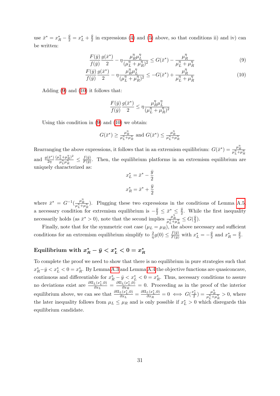use  $\bar{x}^* = x_R^* - \frac{\bar{y}}{2} = x_L^* + \frac{\bar{y}}{2}$  $\frac{y}{2}$  in expressions [\(4\)](#page-27-1) and [\(5\)](#page-27-2) above, so that conditions ii) and iv) can be written:

$$
\frac{F(\bar{y})}{f(\bar{y})} \frac{g(\bar{x}^*)}{2} - \eta \frac{\mu_R^{\eta} \mu_L^{\eta}}{(\mu_L^{\eta} + \mu_R^{\eta})^2} \le G(\bar{x}^*) - \frac{\mu_R^{\eta}}{\mu_L^{\eta} + \mu_R^{\eta}}
$$
(9)

$$
\frac{F(\bar{y})}{f(\bar{y})} \frac{g(\bar{x}^*)}{2} - \eta \frac{\mu_R^{\eta} \mu_L^{\eta}}{(\mu_L^{\eta} + \mu_R^{\eta})^2} \le -G(\bar{x}^*) + \frac{\mu_R^{\eta}}{\mu_L^{\eta} + \mu_R^{\eta}}
$$
(10)

Adding  $(9)$  and  $(10)$  it follows that:

<span id="page-32-1"></span><span id="page-32-0"></span>
$$
\frac{F(\bar{y})}{f(\bar{y})}\frac{g(\bar{x}^*)}{2}\leq \eta \frac{\mu_R^\eta \mu_L^\eta}{(\mu_L^\eta + \mu_R^\eta)^2}
$$

Using this condition in  $\left(9\right)$  and  $\left(10\right)$  we obtain:

$$
G(\bar{x}^*) \ge \frac{\mu_R^n}{\mu_L^n + \mu_R^n}
$$
 and  $G(\bar{x}^*) \le \frac{\mu_R^n}{\mu_L^n + \mu_R^n}$ 

Rearranging the above expressions, it follows that in an extremism equilibrium:  $G(\bar{x}^*) = \frac{\mu_R^n}{\mu_L^n + \mu_R^n}$ and  $\frac{g(\bar{x}^*)}{2n}$  $\overline{2\eta}$  $(\mu_L^{\eta} + \mu_R^{\eta})^2$  $\frac{f_L^{\eta} + \mu_R^{\eta})^2}{\mu_L^{\eta} \mu_R^{\eta}} \leq \frac{f(\bar{y})}{F(\bar{y})}$  $\frac{f(y)}{F(\bar{y})}$ . Then, the equilibrium platforms in an extremism equilibrium are uniquely characterized as:

$$
x_L^* = \bar{x}^* - \frac{\bar{y}}{2}
$$

$$
x_R^* = \bar{x}^* + \frac{\bar{y}}{2}
$$

where  $\bar{x}^* = G^{-1}(\frac{\mu_R^{\eta}}{\mu_L^{\eta} + \mu_R^{\eta}})$ . Plugging these two expressions in the conditions of Lemma [A.5,](#page-29-2) a necessary condition for extremism equilibrium is  $-\frac{\bar{y}}{2} \leq \bar{x}^* \leq \frac{\bar{y}}{2}$  $\leq \frac{y}{2}$ . While the first inequality necessarily holds (as  $\bar{x}^* > 0$ ), note that the second implies  $\frac{\mu_R^n}{\mu_L^n + \mu_R^n} \leq G(\frac{\bar{y}}{2})$  $\frac{y}{2}$ .

Finally, note that for the symmetric cost case  $(\mu_L = \mu_R)$ , the above necessary and sufficient conditions for an extremism equilibrium simplify to  $\frac{2}{\eta}g(0) \leq \frac{f(\bar{y})}{F(\bar{y})}$  with  $x_L^* = -\frac{\bar{y}}{2}$  $\frac{\bar{y}}{2}$  and  $x_R^* = \frac{\bar{y}}{2}$  $\frac{y}{2}$ .

#### Equilibrium with  $x_R^* - \bar{y} < x_L^* < 0 = x_I^*$ R

To complete the proof we need to show that there is no equilibrium in pure strategies such that  $x_R^* - \bar{y} < x_L^* < 0 = x_R^*$ . By Lemma  $\boxed{A.3}$  and Lemma  $\boxed{A.4}$  the objective functions are quasiconcave, continuous and differentiable for  $x_R^* - \bar{y} < x_L^* < 0 = x_R^*$ . Thus, necessary conditions to assure no deviations exist are  $\frac{\partial \Pi_L(x_L^*,0)}{\partial x_L}$  $\frac{L(x_L^*,0)}{\partial x_L} = \frac{\partial \Pi_L(x_L^*,0)}{\partial x_R}$  $\frac{L(x_L,0)}{\partial x_R} = 0$ . Proceeding as in the proof of the interior equilibrium above, we can see that  $\frac{\partial \Pi_L(x_L^*,0)}{\partial x_L}$  $\frac{L(x_L^*,0)}{\partial x_L} = \frac{\partial \Pi_L(x_L^*,0)}{\partial x_R}$  $\frac{L(x_L^*,0)}{\partial x_R} = 0 \iff G(\frac{x_L^*}{2}) = \frac{\mu_R^{\eta}}{\mu_L^{\eta} + \mu_R^{\eta}} > 0$ , where the later inequality follows from  $\mu_L \leq \mu_R$  and is only possible if  $x_L^* > 0$  which disregards this equilibrium candidate.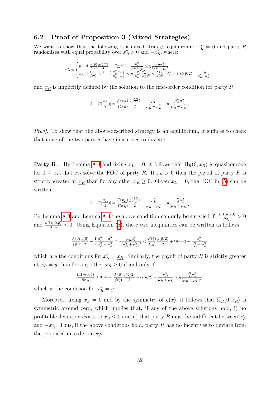#### <span id="page-33-0"></span>6.2 Proof of Proposition 3 (Mixed Strategies)

We want to show that the following is a mixed strategy equilibrium:  $x_L^* = 0$  and party R randomizes with equal probability over  $x_R^* > 0$  and  $-x_R^*$ , where:

$$
x_R^* = \begin{cases} \bar{y} & \text{if } \frac{F(\bar{y})}{f(\bar{y})} \frac{g(\bar{y}/2)}{2} + G(\bar{y}/2) - \frac{\mu_R^{\eta}}{\mu_R^{\eta} + \mu_L^{\eta}} \leq \eta \frac{\mu_R^{\eta} \mu_L^{\eta}}{(\mu_R^{\eta} + \mu_L^{\eta})^2} \\ \frac{x_R}{f(0)} & \text{if } \frac{F(0)}{f(0)} \frac{g(0)}{2} - \frac{1}{2} \frac{\mu_R^{\eta} - \mu_L^{\eta}}{\mu_R^{\eta} + \mu_L^{\eta}} < \eta \frac{\mu_R^{\eta} \mu_L^{\eta}}{(\mu_R^{\eta} + \mu_L^{\eta})^2} < \frac{F(\bar{y})}{f(\bar{y})} \frac{g(\bar{y}/2)}{2} + G(\bar{y}/2) - \frac{\mu_R^{\eta}}{\mu_R^{\eta} + \mu_L^{\eta}} \end{cases}
$$

and  $x_R$  is implicitly defined by the solution to the first-order condition for party R:

$$
[1-G(\frac{x_R}{2})]=\frac{F(x_R)}{f(\underline{x_R})}\frac{g(\frac{x_R}{2})}{2}+\frac{\mu_L^\eta}{\mu_R^\eta+\mu_L^\eta}-\eta\frac{\mu_R^\eta\mu_L^\eta}{(\mu_R^\eta+\mu_L^\eta)^2}
$$

Proof. To show that the above-described strategy is an equilibrium, it suffices to check that none of the two parties have incentives to deviate:

**Party R.** By Lemma [A.4](#page-18-0) and fixing  $x_L = 0$ , it follows that  $\Pi_R(0, x_R)$  is quasiconcave for  $0 \leq x_R$ . Let  $x_R$  solve the FOC of party R. If  $x_R > 0$  then the payoff of party R is strictly greater at  $x_R$  than for any other  $x_R \geq 0$ . Given  $x_L = 0$ , the FOC in [\(5\)](#page-27-2) can be written:

$$
[1-G(\frac{x_R}{2})]=\frac{F(x_R)}{f(\underline{x_R})}\frac{g(\frac{x_R}{2})}{2}+\frac{\mu_L^{\eta}}{\mu_R^{\eta}+\mu_L^{\eta}}-\eta\frac{\mu_R^{\eta}\mu_L^{\eta}}{(\mu_R^{\eta}+\mu_L^{\eta})^2}
$$

By Lemma  $\boxed{A.3}$  and Lemma  $\boxed{A.4}$  the above condition can only be satisfied if:  $\frac{\partial \Pi_R(0,0)}{\partial x_R} > 0$ and  $\frac{\partial \Pi_R(0,\bar{y})}{\partial x_R} < 0$ . Using Equation [\(5\)](#page-27-2), these two inequalities can be written as follows.

$$
\frac{F(0)}{f(0)}\frac{g(0)}{2}-\frac{1}{2}\frac{\mu_R^{\eta}-\mu_L^{\eta}}{\mu_R^{\eta}+\mu_L^{\eta}}<\eta\frac{\mu_R^{\eta}\mu_L^{\eta}}{(\mu_R^{\eta}+\mu_L^{\eta})^2}<\frac{F(\bar{y})}{f(\bar{y})}\frac{g(\bar{y}/2)}{2}+G(\bar{y}/2)-\frac{\mu_R^{\eta}}{\mu_R^{\eta}+\mu_L^{\eta}},
$$

which are the conditions for  $x_R^* = \underline{x_R}$ . Similarly, the payoff of party R is strictly greater at  $x_R = \bar{y}$  than for any other  $x_R \geq 0$  if and only if

$$
\frac{\partial \Pi_R(0,\bar{y})}{\partial x_R} \geq 0 \iff \frac{F(\bar{y})}{f(\bar{y})} \frac{g(\bar{y}/2)}{2} + G(\bar{y}/2) - \frac{\mu_R^{\eta}}{\mu_R^{\eta} + \mu_L^{\eta}} \leq \eta \frac{\mu_R^{\eta} \mu_L^{\eta}}{(\mu_R^{\eta} + \mu_L^{\eta})^2},
$$

which is the condition for  $x_R^* = \bar{y}$ .

Moreover, fixing  $x_L = 0$  and by the symmetry of  $g(x)$ , it follows that  $\Pi_R(0, x_R)$  is symmetric around zero, which implies that, if any of the above solutions hold, i) no profitable deviation exists to  $x_R \leq 0$  and ii) that party R must be indifferent between  $x_R^*$ and  $-x_R^*$ . Thus, if the above conditions hold, party R has no incentives to deviate from the proposed mixed strategy.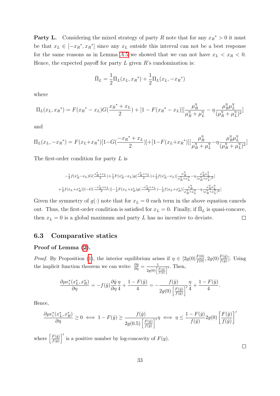**Party L.** Considering the mixed strategy of party R note that for any  $x_R^* > 0$  it must be that  $x_L \in [-x_R^*, x_R^*]$  since any  $x_L$  outside this interval can not be a best response for the same reasons as in Lemma  $\overline{A.5}$  $\overline{A.5}$  $\overline{A.5}$  we showed that we can not have  $x_L < x_R < 0$ . Hence, the expected payoff for party  $L$  given  $R$ 's randomization is:

$$
\bar{\Pi}_L = \frac{1}{2} \Pi_L(x_L, x_R^*) + \frac{1}{2} \Pi_L(x_L, -x_R^*)
$$

where

$$
\Pi_L(x_L, x_R^*) = F(x_R^* - x_L)G(\frac{x_R^* + x_L}{2}) + [1 - F(x_R^* - x_L)][\frac{\mu_R^{\eta}}{\mu_R^{\eta} + \mu_L^{\eta}} - \eta \frac{\mu_R^{\eta} \mu_L^{\eta}}{(\mu_R^{\eta} + \mu_L^{\eta})^2}]
$$

and

$$
\Pi_L(x_L, -x_R^*) = F(x_L + x_R^*)[1 - G(\frac{-x_R^* + x_L}{2})] + [1 - F(x_L + x_R^*)][\frac{\mu_R^{\eta}}{\mu_R^{\eta} + \mu_L^{\eta}} - \eta \frac{\mu_R^{\eta} \mu_L^{\eta}}{(\mu_R^{\eta} + \mu_L^{\eta})^2}]
$$

The first-order condition for party L is

$$
-\tfrac{1}{2}f(x_R^*-x_L)G(\tfrac{x_R^*+x_L}{2})+\tfrac{1}{4}F(x_R^*-x_L)g(\tfrac{x_R^*+x_L}{2})+\tfrac{1}{2}f(x_R^*-x_L)[\tfrac{\mu_R^{\eta}}{\mu_R^{\eta}+\mu_L^{\eta}}-\eta\tfrac{\mu_R^{\eta}\mu_L^{\eta}}{(\mu_R^{\eta}+\mu_L^{\eta})^2}]\\+\tfrac{1}{2}f(x_L+x_R^*)[1-G(\tfrac{-x_R^*+x_L}{2})]-\tfrac{1}{4}F(x_L+x_R^*)g(\tfrac{-x_R^*+x_L}{2})-\tfrac{1}{2}f(x_L+x_R^*)[\tfrac{\mu_R^{\eta}}{\mu_R^{\eta}+\mu_L^{\eta}}-\eta\tfrac{\mu_R^{\eta}\mu_L^{\eta}}{(\mu_R^{\eta}+\mu_L^{\eta})^2}]
$$

Given the symmetry of  $g(\cdot)$  note that for  $x_L = 0$  each term in the above equation cancels out. Thus, the first-order condition is satisfied for  $x_L = 0$ . Finally, if  $\bar{\Pi}_L$  is quasi-concave, then  $x_L = 0$  is a global maximum and party L has no incentive to deviate.  $\Box$ 

### 6.3 Comparative statics

#### Proof of Lemma  $(2)$ .

*Proof.* By Proposition  $\left\langle 1 \right\rangle$ , the interior equilibrium arises if  $\eta \in \left[ 2g(0) \frac{F(0)}{f(0)}, 2g(0) \frac{F(\bar{y})}{f(\bar{y})} \right]$ . Using the implicit function theorem we can write:  $\frac{\partial \hat{y}}{\partial \eta} = \frac{1}{2g(0)}$  $\frac{1}{2g(0)\left[\frac{F(\hat{y})}{f(\hat{y})}\right]^{\prime}}$ . Then,

$$
\frac{\partial\mu e_i^*(x_L^*,x_R^*)}{\partial\eta}=-f(\hat{y})\frac{\partial\hat{y}}{\partial\eta}\frac{\eta}{4}+\frac{1-F(\hat{y})}{4}=-\frac{f(\hat{y})}{2g(0)\left[\frac{F(\hat{y})}{f(\hat{y})}\right]'}\frac{\eta}{4}+\frac{1-F(\hat{y})}{4}.
$$

Hence,

$$
\frac{\partial\mu e_i^*(x_L^*,x_R^*)}{\partial\eta}\geq 0\iff 1-F(\hat y)\geq\frac{f(\hat y)}{2g(0.5)\left[\frac{F(\hat y)}{f(\hat y)}\right]'}\eta\iff \eta\leq\frac{1-F(\hat y)}{f(\hat y)}2g(0)\left[\frac{F(\hat y)}{f(\hat y)}\right]'
$$

where  $\left[\frac{F(\hat{y})}{f(\hat{y})}\right]$  $\left(\frac{F(\hat{y})}{f(\hat{y})}\right)'$  is a positive number by log-concavity of  $F(y)$ .

 $\Box$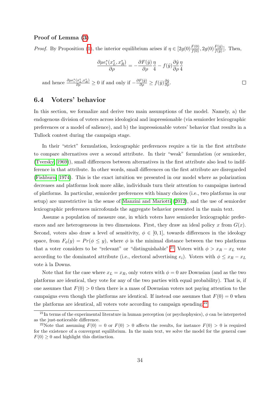#### Proof of Lemma [\(3\)](#page-17-0)

*Proof.* By Proposition  $(1)$ , the interior equilibrium arises if  $\eta \in [2g(0)\frac{F(0)}{f(0)}, 2g(0)\frac{F(\bar{y})}{f(\bar{y})}]$ . Then,

$$
\frac{\partial \mu e_i^*(x_L^*, x_R^*)}{\partial \rho} = -\frac{\partial F(\hat{y})}{\partial \rho} \frac{\eta}{4} - f(\hat{y}) \frac{\partial \hat{y}}{\partial \rho} \frac{\eta}{4}
$$
  
and hence  $\frac{\partial \mu e_i^*(x_L^*, x_R^*)}{\partial \rho} \ge 0$  if and only if  $-\frac{\partial F(\hat{y})}{\partial \rho} \ge f(\hat{y}) \frac{\partial \hat{y}}{\partial \rho}$ .

#### <span id="page-35-0"></span>6.4 Voters' behavior

In this section, we formalize and derive two main assumptions of the model. Namely, a) the endogenous division of voters across ideological and impressionable (via semiorder lexicographic preferences or a model of salience), and b) the impressionable voters' behavior that results in a Tullock contest during the campaign stage.

In their "strict" formulation, lexicographic preferences require a tie in the first attribute to compare alternatives over a second attribute. In their "weak" formulation (or semiorder,  $(T \text{versky}, [1969])$ , small differences between alternatives in the first attribute also lead to indifference in that attribute. In other words, small differences on the first attribute are disregarded [\(Fishburn, 1974\)](#page-39-16). This is the exact intuition we presented in our model where as polarization decreases and platforms look more alike, individuals turn their attention to campaigns instead of platforms. In particular, semiorder preferences with binary choices (i.e., two platforms in our setup) are unrestrictive in the sense of [Manzini and Mariotti](#page-41-4)  $(2012)$ , and the use of semiorder lexicographic preferences microfounds the aggregate behavior presented in the main text.

Assume a population of measure one, in which voters have semiorder lexicographic preferences and are heterogeneous in two dimensions. First, they draw an ideal policy x from  $G(x)$ . Second, voters also draw a level of sensitivity,  $\phi \in [0,1]$ , towards differences in the ideology space, from  $F_{\phi}(y) = Pr(\phi \leq y)$ , where  $\phi$  is the minimal distance between the two platforms that a voter considers to be "relevant" or "distinguishable".<sup>[21](#page-2-0)</sup> Voters with  $\phi > x_R - x_L$  vote according to the dominated attribute (i.e., electoral advertising  $e_i$ ). Voters with  $\phi \leq x_R - x_L$ vote à la Downs.

Note that for the case where  $x_L = x_R$ , only voters with  $\phi = 0$  are Downsian (and as the two platforms are identical, they vote for any of the two parties with equal probability). That is, if one assumes that  $F(0) > 0$  then there is a mass of Downsian voters not paying attention to the campaigns even though the platforms are identical. If instead one assumes that  $F(0) = 0$  when the platforms are identical, all voters vote according to campaign spending. $[2^2]$ 

 $^{21}$ In terms of the experimental literature in human perception (or psychophysics),  $\phi$  can be interpreted as the just-noticeable difference.

<sup>&</sup>lt;sup>22</sup>Note that assuming  $F(0) = 0$  or  $F(0) > 0$  affects the results, for instance  $F(0) > 0$  is required for the existence of a convergent equilibrium. In the main text, we solve the model for the general case  $F(0) \geq 0$  and highlight this distinction.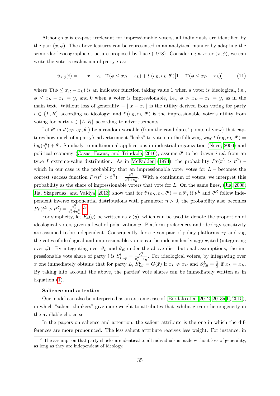Although  $x$  is ex-post irrelevant for impressionable voters, all individuals are identified by the pair  $(x, \phi)$ . The above features can be represented in an analytical manner by adapting the semiorder lexicographic structure proposed by Luce (1978). Considering a voter  $(x, \phi)$ , we can write the voter's evaluation of party i as:

$$
\vartheta_{x,\phi}(i) = - \mid x - x_i \mid \Upsilon(\phi \le x_R - x_L) + t^i(e_R, e_L, \theta^i) [1 - \Upsilon(\phi \le x_R - x_L)] \tag{11}
$$

where  $\Upsilon(\phi \leq x_R - x_L)$  is an indicator function taking value 1 when a voter is ideological, i.e.,  $\phi \leq x_R - x_L = y$ , and 0 when a voter is impressionable, i.e.,  $\phi > x_R - x_L = y$ , as in the main text. Without loss of generality  $- | x - x_i |$  is the utility derived from voting for party  $i \in \{L, R\}$  according to ideology; and  $t^i(e_R, e_L, \theta^i)$  is the impressionable voter's utility from voting for party  $i \in \{L, R\}$  according to advertisements.

Let  $\theta^i$  in  $t^i(e_R, e_L, \theta^i)$  be a random variable (from the candidates' points of view) that captures how much of a party's advertisement "leaks" to voters in the following way  $t^{i}(e_R, e_L, \theta^i) =$  $log(e_i^{\eta})$  $\hat{i}_{ij}^{(n)} + \theta^i$ . Similarly to multinomial applications in industrial organization [\(Nevo, 2000\)](#page-41-17) and political economy [\(Casas, Fawaz, and Trindade, 2016\)](#page-39-17), assume  $\theta^i$  to be drawn *i.i.d.* from an type I extreme-value distribution. As in [McFadden](#page-41-18) [\(1974\)](#page-41-18), the probability  $Pr(t^L > t^R)$  – which in our case is the probability that an impressionable voter votes for  $L$  – becomes the contest success function  $Pr(t^L > t^R) = \frac{e_L^{\eta}}{e_L^{\eta} + e_R^{\eta}}$ . With a continuum of voters, we interpret this probability as the share of impressionable voters that vote for L. On the same lines,  $\sqrt{\text{Jia}}$ ,  $\sqrt{\text{2008}}$ ; [Jia, Skaperdas, and Vaidya, 2013\)](#page-40-17) show that for  $t^{i}(e_R, e_L, \theta^i) = e_i \theta^i$ , if  $\theta^L$  and  $\theta^R$  follow independent inverse exponential distributions with parameter  $\eta > 0$ , the probability also becomes  $Pr(t^L > t^R) = \frac{e_L^{\eta}}{e_L^{\eta} + e_R^{\eta}}.$ <sup>[23](#page-2-0)</sup>

For simplicity, let  $\overline{F}_{\phi}(y)$  be written as  $F(y)$ , which can be used to denote the proportion of ideological voters given a level of polarization y. Platform preferences and ideology sensitivity are assumed to be independent. Consequently, for a given pair of policy platforms  $x_L$  and  $x_R$ , the votes of ideological and impressionable voters can be independently aggregated (integrating over  $\phi$ ). By integrating over  $\theta_L$  and  $\theta_R$  under the above distributional assumptions, the impressionable vote share of party *i* is  $S_{Imp}^i = \frac{e_i^{\eta}}{e_L^{\eta} + e_R^{\eta}}$ . For ideological voters, by integrating over x one immediately obtains that for party L,  $\tilde{S}_{Idl}^L = G(\bar{x})$  if  $x_L \neq x_R$  and  $S_{Idl}^L = \frac{1}{2}$  $rac{1}{2}$  if  $x_L = x_R$ . By taking into account the above, the parties' vote shares can be immediately written as in Equation  $(1)$ .

#### Salience and attention

Our model can also be interpreted as an extreme case of  $\left(\text{Bordalo et al.} \left| 2012, 2013a, b \right|, 2015 \right)$  $\left(\text{Bordalo et al.} \left| 2012, 2013a, b \right|, 2015 \right)$  $\left(\text{Bordalo et al.} \left| 2012, 2013a, b \right|, 2015 \right)$ , in which "salient thinkers" give more weight to attributes that exhibit greater heterogeneity in the available choice set.

In the papers on salience and attention, the salient attribute is the one in which the differences are more pronounced. The less salient attribute receives less weight. For instance, in

<sup>&</sup>lt;sup>23</sup>The assumption that party shocks are identical to all individuals is made without loss of generality, as long as they are independent of ideology.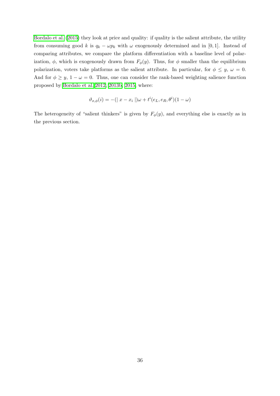[Bordalo et al.](#page-38-6) [\(2015\)](#page-38-6) they look at price and quality: if quality is the salient attribute, the utility from consuming good k is  $q_k - \omega p_k$  with  $\omega$  exogenously determined and in [0, 1]. Instead of comparing attributes, we compare the platform differentiation with a baseline level of polarization,  $\phi$ , which is exogenously drawn from  $F_{\phi}(y)$ . Thus, for  $\phi$  smaller than the equilibrium polarization, voters take platforms as the salient attribute. In particular, for  $\phi \leq y$ ,  $\omega = 0$ . And for  $\phi \geq y$ ,  $1 - \omega = 0$ . Thus, one can consider the rank-based weighting salience function proposed by [Bordalo et al. 2012,](#page-38-3) [2013b,](#page-38-5) [2015,](#page-38-6) where:

$$
\vartheta_{x,\phi}(i) = -(|x - x_i|)\omega + t^i(e_L, e_R, \theta^i)(1 - \omega)
$$

The heterogeneity of "salient thinkers" is given by  $F_{\phi}(y)$ , and everything else is exactly as in the previous section.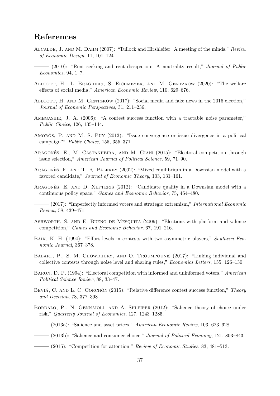## References

- <span id="page-38-10"></span>Alcalde, J. and M. Dahm (2007): "Tullock and Hirshleifer: A meeting of the minds," Review of Economic Design, 11, 101–124.
- <span id="page-38-14"></span> $-$  (2010): "Rent seeking and rent dissipation: A neutrality result," Journal of Public Economics, 94, 1–7.
- <span id="page-38-17"></span>ALLCOTT, H., L. BRAGHIERI, S. EICHMEYER, AND M. GENTZKOW (2020): "The welfare effects of social media," American Economic Review, 110, 629–676.
- <span id="page-38-18"></span>ALLCOTT, H. AND M. GENTZKOW (2017): "Social media and fake news in the 2016 election," Journal of Economic Perspectives, 31, 211–236.
- <span id="page-38-11"></span>AMEGASHIE, J. A. (2006): "A contest success function with a tractable noise parameter," Public Choice, 126, 135–144.
- <span id="page-38-7"></span>AMORÓS, P. AND M. S. PUY (2013): "Issue convergence or issue divergence in a political campaign?" Public Choice, 155, 355–371.
- <span id="page-38-8"></span>ARAGONÉS, E., M. CASTANHEIRA, AND M. GIANI (2015): "Electoral competition through issue selection," American Journal of Political Science, 59, 71–90.
- <span id="page-38-2"></span>ARAGONÈS, E. AND T. R. PALFREY (2002): "Mixed equilibrium in a Downsian model with a favored candidate," Journal of Economic Theory, 103, 131–161.
- <span id="page-38-16"></span>ARAGONES, E. AND D. XEFTERIS  $(2012)$ : "Candidate quality in a Downsian model with a continuous policy space," Games and Economic Behavior, 75, 464–480.
- <span id="page-38-9"></span> $(2017)$ : "Imperfectly informed voters and strategic extremism," *International Economic* Review, 58, 439–471.
- <span id="page-38-0"></span>Ashworth, S. and E. Bueno de Mesquita (2009): "Elections with platform and valence competition," Games and Economic Behavior, 67, 191–216.
- <span id="page-38-15"></span>BAIK, K. H. (1994): "Effort levels in contests with two asymmetric players," Southern Economic Journal, 367–378.
- <span id="page-38-13"></span>BALART, P., S. M. CHOWDHURY, AND O. TROUMPOUNIS (2017): "Linking individual and collective contests through noise level and sharing rules," Economics Letters, 155, 126–130.
- <span id="page-38-1"></span>Baron, D. P. (1994): "Electoral competition with informed and uninformed voters." American Political Science Review, 88, 33–47.
- <span id="page-38-12"></span>BEVIÁ, C. AND L. C. CORCHÓN (2015): "Relative difference contest success function," Theory and Decision, 78, 377–398.
- <span id="page-38-3"></span>BORDALO, P., N. GENNAIOLI, AND A. SHLEIFER (2012): "Salience theory of choice under risk," Quarterly Journal of Economics, 127, 1243–1285.
- <span id="page-38-4"></span> $-$  (2013a): "Salience and asset prices," *American Economic Review*, 103, 623–628.
- <span id="page-38-5"></span>(2013b): "Salience and consumer choice," *Journal of Political Economy*, 121, 803–843.
- <span id="page-38-6"></span> $-$  (2015): "Competition for attention," Review of Economic Studies, 83, 481–513.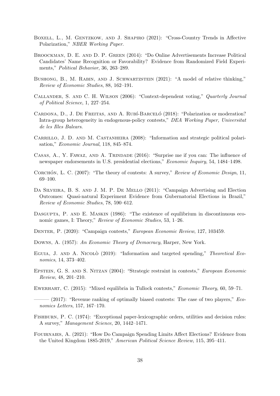- <span id="page-39-1"></span>BOXELL, L., M. GENTZKOW, AND J. SHAPIRO (2021): "Cross-Country Trends in Affective Polarization," NBER Working Paper.
- <span id="page-39-15"></span>Broockman, D. E. and D. P. Green (2014): "Do Online Advertisements Increase Political Candidates' Name Recognition or Favorability? Evidence from Randomized Field Experiments," Political Behavior, 36, 263–289.
- <span id="page-39-5"></span>BUSHONG, B., M. RABIN, AND J. SCHWARTZSTEIN (2021): "A model of relative thinking," Review of Economic Studies, 88, 162–191.
- <span id="page-39-6"></span>Callander, S. and C. H. Wilson (2006): "Context-dependent voting," Quarterly Journal of Political Science, 1, 227–254.
- <span id="page-39-3"></span>CARDONA, D., J. DE FREITAS, AND A. RUBÍ-BARCELÓ (2018): "Polarization or moderation? Intra-group heterogeneity in endogenous-policy contests," DEA Working Paper, Universitat de les Illes Balears.
- <span id="page-39-4"></span>CARRILLO, J. D. AND M. CASTANHEIRA (2008): "Information and strategic political polarisation," Economic Journal, 118, 845–874.
- <span id="page-39-17"></span>Casas, A., Y. Fawaz, and A. Trindade (2016): "Surprise me if you can: The influence of newspaper endorsements in U.S. presidential elections," Economic Inquiry, 54, 1484–1498.
- <span id="page-39-9"></span>CORCHÓN, L. C. (2007): "The theory of contests: A survey," Review of Economic Design, 11, 69–100.
- <span id="page-39-13"></span>DA SILVEIRA, B. S. AND J. M. P. DE MELLO (2011): "Campaign Advertising and Election Outcomes: Quasi-natural Experiment Evidence from Gubernatorial Elections in Brazil," Review of Economic Studies, 78, 590–612.
- <span id="page-39-12"></span>DASGUPTA, P. AND E. MASKIN (1986): "The existence of equilibrium in discontinuous economic games, I: Theory," Review of Economic Studies, 53, 1–26.
- <span id="page-39-7"></span>Denter, P. (2020): "Campaign contests," European Economic Review, 127, 103459.
- <span id="page-39-0"></span>DOWNS, A. (1957): An Economic Theory of Democracy, Harper, New York.
- <span id="page-39-8"></span>EGUIA, J. AND A. NICOLO<sup> $(2019)$ : "Information and targeted spending," Theoretical Eco-</sup> nomics, 14, 373–402.
- <span id="page-39-2"></span>Epstein, G. S. and S. Nitzan (2004): "Strategic restraint in contests," European Economic Review, 48, 201–210.
- <span id="page-39-10"></span>Ewerhart, C. (2015): "Mixed equilibria in Tullock contests," Economic Theory, 60, 59–71.
- <span id="page-39-11"></span> $-(2017)$ : "Revenue ranking of optimally biased contests: The case of two players," *Eco*nomics Letters, 157, 167–170.
- <span id="page-39-16"></span>Fishburn, P. C. (1974): "Exceptional paper-lexicographic orders, utilities and decision rules: A survey," Management Science, 20, 1442–1471.
- <span id="page-39-14"></span>Fouirnaies, A. (2021): "How Do Campaign Spending Limits Affect Elections? Evidence from the United Kingdom 1885-2019," American Political Science Review, 115, 395–411.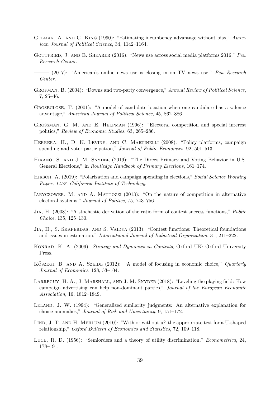- <span id="page-40-10"></span>Gelman, A. and G. King (1990): "Estimating incumbency advantage without bias," American Journal of Political Science, 34, 1142–1164.
- <span id="page-40-14"></span>GOTTFRIED, J. AND E. SHEARER  $(2016)$ : "News use across social media platforms 2016," Pew Research Center.
- <span id="page-40-15"></span> $-$  (2017): "American's online news use is closing in on TV news use," Pew Research Center.
- <span id="page-40-0"></span>GROFMAN, B. (2004): "Downs and two-party convergence," Annual Review of Political Science, 7, 25–46.
- <span id="page-40-5"></span>Groseclose, T. (2001): "A model of candidate location when one candidate has a valence advantage," American Journal of Political Science, 45, 862–886.
- <span id="page-40-2"></span>Grossman, G. M. and E. Helpman (1996): "Electoral competition and special interest politics," Review of Economic Studies, 63, 265–286.
- <span id="page-40-1"></span>HERRERA, H., D. K. LEVINE, AND C. MARTINELLI (2008): "Policy platforms, campaign spending and voter participation," *Journal of Public Economics*, 92, 501–513.
- <span id="page-40-13"></span>Hirano, S. and J. M. Snyder (2019): "The Direct Primary and Voting Behavior in U.S. General Elections," in Routledge Handbook of Primary Elections, 161–174.
- <span id="page-40-6"></span>HIRSCH, A. (2019): "Polarization and campaign spending in elections," Social Science Working Paper, 1452. California Institute of Technology.
- <span id="page-40-7"></span>IARYCZOWER, M. AND A. MATTOZZI (2013): "On the nature of competition in alternative electoral systems," Journal of Politics, 75, 743–756.
- <span id="page-40-16"></span>Jia, H. (2008): "A stochastic derivation of the ratio form of contest success functions," Public Choice, 135, 125–130.
- <span id="page-40-17"></span>JIA, H., S. SKAPERDAS, AND S. VAIDYA (2013): "Contest functions: Theoretical foundations and issues in estimation," International Journal of Industrial Organization, 31, 211–222.
- <span id="page-40-9"></span>KONRAD, K. A. (2009): Strategy and Dynamics in Contests, Oxford UK: Oxford University Press.
- <span id="page-40-8"></span>KÖSZEGI, B. AND A. SZEIDL (2012): "A model of focusing in economic choice," Quarterly Journal of Economics, 128, 53–104.
- <span id="page-40-12"></span>LARREGUY, H. A., J. MARSHALL, AND J. M. SNYDER (2018): "Leveling the playing field: How campaign advertising can help non-dominant parties," Journal of the European Economic Association, 16, 1812–1849.
- <span id="page-40-4"></span>LELAND, J. W. (1994): "Generalized similarity judgments: An alternative explanation for choice anomalies," Journal of Risk and Uncertainty, 9, 151–172.
- <span id="page-40-11"></span>LIND, J. T. AND H. MEHLUM (2010): "With or without u? the appropriate test for a U-shaped relationship," Oxford Bulletin of Economics and Statistics, 72, 109–118.
- <span id="page-40-3"></span>Luce, R. D. (1956): "Semiorders and a theory of utility discrimination," Econometrica, 24, 178–191.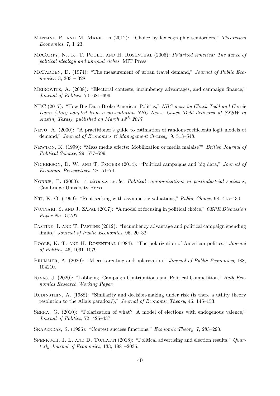- <span id="page-41-4"></span>MANZINI, P. AND M. MARIOTTI (2012): "Choice by lexicographic semiorders," Theoretical Economics, 7, 1–23.
- <span id="page-41-1"></span>MCCARTY, N., K. T. POOLE, AND H. ROSENTHAL (2006): *Polarized America: The dance of* political ideology and unequal riches, MIT Press.
- <span id="page-41-18"></span>McFadden, D. (1974): "The measurement of urban travel demand," Journal of Public Economics, 3, 303 – 328.
- <span id="page-41-7"></span>Meirowitz, A. (2008): "Electoral contests, incumbency advantages, and campaign finance," Journal of Politics, 70, 681–699.
- <span id="page-41-16"></span>NBC (2017): "How Big Data Broke American Politics," NBC news by Chuck Todd and Carrie Dann (story adapted from a presentation NBC News' Chuck Todd delivered at SXSW in Austin, Texas), published on March  $14^{th}$  2017.
- <span id="page-41-17"></span>Nevo, A. (2000): "A practitioner's guide to estimation of random-coefficients logit models of demand," Journal of Economics & Management Strategy, 9, 513-548.
- <span id="page-41-6"></span>Newton, K. (1999): "Mass media effects: Mobilization or media malaise?" British Journal of Political Science, 29, 577–599.
- <span id="page-41-2"></span>Nickerson, D. W. and T. Rogers (2014): "Political campaigns and big data," Journal of Economic Perspectives, 28, 51–74.
- <span id="page-41-5"></span>NORRIS, P. (2000): A virtuous circle: Political communications in postindustrial societies, Cambridge University Press.
- <span id="page-41-14"></span>Nti, K. O. (1999): "Rent-seeking with asymmetric valuations," Public Choice, 98, 415–430.
- <span id="page-41-12"></span>NUNNARI, S. AND J. ZÁPAL (2017): "A model of focusing in political choice," CEPR Discussion Paper No. 12407.
- <span id="page-41-8"></span>PASTINE, I. AND T. PASTINE (2012): "Incumbency advantage and political campaign spending limits," Journal of Public Economics, 96, 20–32.
- <span id="page-41-0"></span>POOLE, K. T. AND H. ROSENTHAL (1984): "The polarization of American politics," Journal of Politics, 46, 1061–1079.
- <span id="page-41-11"></span>PRUMMER, A. (2020): "Micro-targeting and polarization," *Journal of Public Economics*, 188, 104210.
- <span id="page-41-10"></span>Rivas, J. (2020): "Lobbying, Campaign Contributions and Political Competition," Bath Economics Research Working Paper.
- <span id="page-41-3"></span>Rubinstein, A. (1988): "Similarity and decision-making under risk (is there a utility theory resolution to the Allais paradox?)," Journal of Economic Theory, 46, 145–153.
- <span id="page-41-9"></span>SERRA, G. (2010): "Polarization of what? A model of elections with endogenous valence," Journal of Politics, 72, 426–437.
- <span id="page-41-13"></span>Skaperdas, S. (1996): "Contest success functions," Economic Theory, 7, 283–290.
- <span id="page-41-15"></span>SPENKUCH, J. L. AND D. TONIATTI (2018): "Political advertising and election results," Quarterly Journal of Economics, 133, 1981–2036.